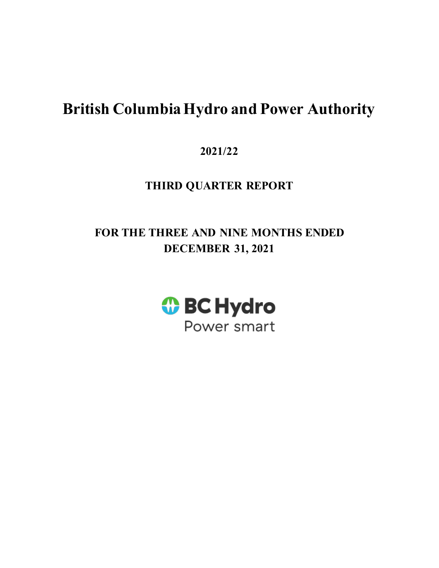# **British Columbia Hydro and Power Authority**

**2021/22** 

# **THIRD QUARTER REPORT**

# **FOR THE THREE AND NINE MONTHS ENDED DECEMBER 31, 2021**

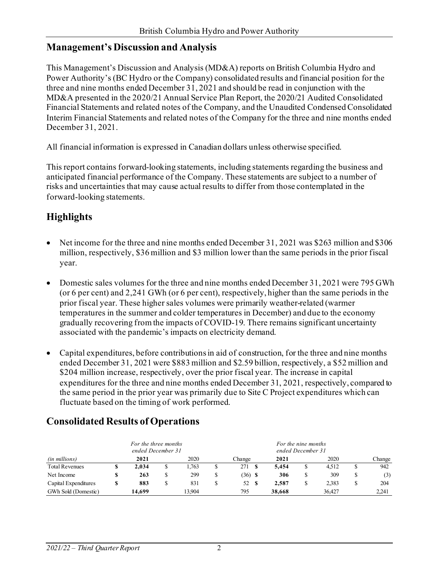# **Management's Discussion and Analysis**

This Management's Discussion and Analysis (MD&A) reports on British Columbia Hydro and Power Authority's (BC Hydro or the Company) consolidated results and financial position for the three and nine months ended December 31, 2021 and should be read in conjunction with the MD&A presented in the 2020/21 Annual Service Plan Report, the 2020/21 Audited Consolidated Financial Statements and related notes of the Company, and the Unaudited Condensed Consolidated Interim Financial Statements and related notes of the Company for the three and nine months ended December 31, 2021.

All financial information is expressed in Canadian dollars unless otherwise specified.

This report contains forward-looking statements, including statements regarding the business and anticipated financial performance of the Company. These statements are subject to a number of risks and uncertainties that may cause actual results to differ from those contemplated in the forward-looking statements.

# **Highlights**

- Net income for the three and nine months ended December 31, 2021 was \$263 million and \$306 million, respectively, \$36 million and \$3 million lower than the same periods in the prior fiscal year.
- Domestic sales volumes for the three and nine months ended December 31, 2021 were 795 GWh (or 6 per cent) and 2,241 GWh (or 6 per cent), respectively, higher than the same periods in the prior fiscal year. These higher sales volumes were primarily weather-related (warmer temperatures in the summer and colder temperatures in December) and due to the economy gradually recovering from the impacts of COVID-19. There remains significant uncertainty associated with the pandemic's impacts on electricity demand.
- Capital expenditures, before contributions in aid of construction, for the three and nine months ended December 31, 2021 were \$883 million and \$2.59 billion, respectively, a \$52 million and \$204 million increase, respectively, over the prior fiscal year. The increase in capital expenditures for the three and nine months ended December 31, 2021, respectively, compared to the same period in the prior year was primarily due to Site C Project expenditures which can fluctuate based on the timing of work performed.

|                       | For the three months<br>ended December 31 |        |  |        |   |           |   | For the nine months<br>ended December 31 |   |        |  |        |
|-----------------------|-------------------------------------------|--------|--|--------|---|-----------|---|------------------------------------------|---|--------|--|--------|
| (in millions)         |                                           | 2021   |  | 2020   |   | Change    |   | 2021                                     |   | 2020   |  | Change |
| <b>Total Revenues</b> |                                           | 2.034  |  | .763   |   | 271       |   | 5.454                                    |   | 4.512  |  | 942    |
| Net Income            |                                           | 263    |  | 299    | S | $(36)$ \$ |   | 306                                      |   | 309    |  | (3)    |
| Capital Expenditures  |                                           | 883    |  | 831    |   | 52        | S | 2.587                                    | J | 2.383  |  | 204    |
| GWh Sold (Domestic)   |                                           | 14.699 |  | 13.904 |   | 795       |   | 38,668                                   |   | 36.427 |  | 2.241  |

# **Consolidated Results of Operations**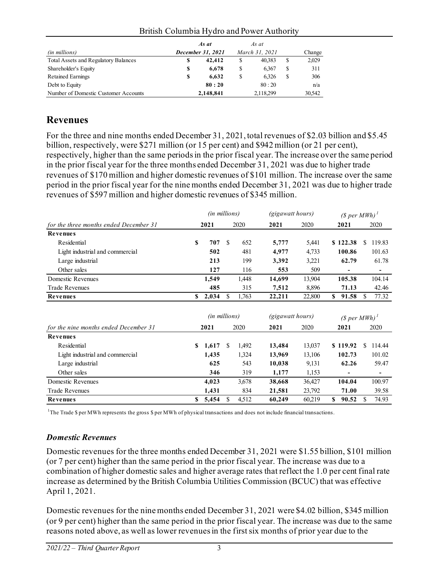|                                      |                   | As at     |                | As at     |        |        |
|--------------------------------------|-------------------|-----------|----------------|-----------|--------|--------|
| (in millions)                        | December 31, 2021 |           | March 31, 2021 |           | Change |        |
| Total Assets and Regulatory Balances | \$                | 42,412    | \$             | 40.383    | \$     | 2,029  |
| Shareholder's Equity                 | S                 | 6.678     | \$             | 6.367     | S      | 311    |
| Retained Earnings                    | S                 | 6.632     | S              | 6.326     | \$     | 306    |
| Debt to Equity                       |                   | 80:20     |                | 80:20     |        | n/a    |
| Number of Domestic Customer Accounts |                   | 2,148,841 |                | 2,118,299 |        | 30.542 |

#### British Columbia Hydro and Power Authority

# **Revenues**

For the three and nine months ended December 31, 2021, total revenues of \$2.03 billion and \$5.45 billion, respectively, were \$271 million (or 15 per cent) and \$942 million (or 21 per cent), respectively, higher than the same periods in the prior fiscal year. The increase over the same period in the prior fiscal year for the three months ended December 31, 2021 was due to higher trade revenues of \$170 million and higher domestic revenues of \$101 million. The increase over the same period in the prior fiscal year for the nine months ended December 31, 2021 was due to higher trade revenues of \$597 million and higher domestic revenues of \$345 million.

|                                        | (in millions) |               |     | <i>(gigawatt hours)</i> |                  |        | $(S per MWh)^T$ |                 |               |                          |
|----------------------------------------|---------------|---------------|-----|-------------------------|------------------|--------|-----------------|-----------------|---------------|--------------------------|
| for the three months ended December 31 |               | 2021          |     | 2020                    | 2021             | 2020   |                 | 2021            |               | 2020                     |
| <b>Revenues</b>                        |               |               |     |                         |                  |        |                 |                 |               |                          |
| Residential                            | S             | 707           | -S  | 652                     | 5,777            | 5,441  |                 | \$122.38        | S.            | 119.83                   |
| Light industrial and commercial        |               | 502           |     | 481                     | 4,977            | 4,733  |                 | 100.86          |               | 101.63                   |
| Large industrial                       |               | 213           |     | 199                     | 3,392            | 3,221  |                 | 62.79           |               | 61.78                    |
| Other sales                            |               | 127           |     | 116                     | 553              | 509    |                 |                 |               | -                        |
| Domestic Revenues                      |               | 1,549         |     | 1,448                   | 14,699           | 13,904 |                 | 105.38          |               | 104.14                   |
| <b>Trade Revenues</b>                  |               | 485           |     | 315                     | 7,512            | 8,896  |                 | 71.13           |               | 42.46                    |
| Revenues                               | <b>S</b>      | 2,034         | \$  | 1,763                   | 22,211           | 22,800 | \$              | 91.58           | <sup>\$</sup> | 77.32                    |
|                                        |               |               |     |                         |                  |        |                 |                 |               |                          |
|                                        |               | (in millions) |     |                         | (gigawatt hours) |        |                 | $(S per MWh)^T$ |               |                          |
| for the nine months ended December 31  |               | 2021          |     | 2020                    | 2021             | 2020   |                 | 2021            |               | 2020                     |
| <b>Revenues</b>                        |               |               |     |                         |                  |        |                 |                 |               |                          |
| Residential                            | S             | 1,617         | \$. | 1,492                   | 13,484           | 13,037 |                 | \$119.92        | £.            | 114.44                   |
| Light industrial and commercial        |               | 1,435         |     | 1,324                   | 13,969           | 13,106 |                 | 102.73          |               | 101.02                   |
| Large industrial                       |               | 625           |     | 543                     | 10,038           | 9,131  |                 | 62.26           |               | 59.47                    |
| Other sales                            |               | 346           |     | 319                     | 1,177            | 1,153  |                 | $\overline{a}$  |               | $\overline{\phantom{a}}$ |
| Domestic Revenues                      |               | 4,023         |     | 3,678                   | 38,668           | 36,427 |                 | 104.04          |               | 100.97                   |
| <b>Trade Revenues</b>                  |               | 1,431         |     | 834                     | 21,581           | 23,792 |                 | 71.00           |               | 39.58                    |
| <b>Revenues</b>                        | S             | 5,454         | \$. | 4,512                   | 60,249           | 60,219 | S.              | 90.52           | \$.           | 74.93                    |

<sup>1</sup>The Trade \$ per MWh represents the gross \$ per MWh of physical transactions and does not include financial transactions.

# *Domestic Revenues*

Domestic revenues for the three months ended December 31, 2021 were \$1.55 billion, \$101 million (or 7 per cent) higher than the same period in the prior fiscal year. The increase was due to a combination of higher domestic sales and higher average rates that reflect the 1.0 per cent final rate increase as determined by the British Columbia Utilities Commission (BCUC) that was effective April 1, 2021.

Domestic revenues for the nine months ended December 31, 2021 were \$4.02 billion, \$345 million (or 9 per cent) higher than the same period in the prior fiscal year. The increase was due to the same reasons noted above, as well as lower revenues in the first six months of prior year due to the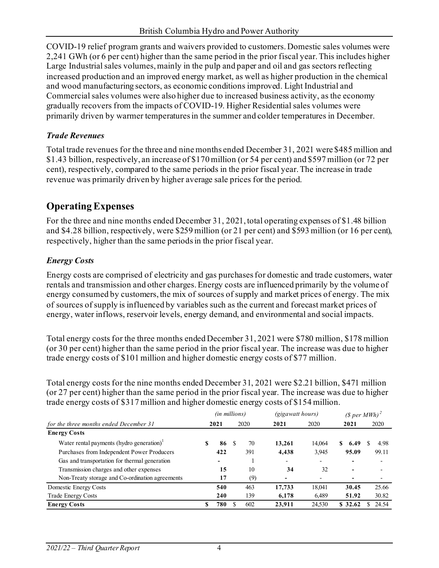COVID-19 relief program grants and waivers provided to customers. Domestic sales volumes were 2,241 GWh (or 6 per cent) higher than the same period in the prior fiscal year. This includes higher Large Industrial sales volumes, mainly in the pulp and paper and oil and gas sectors reflecting increased production and an improved energy market, as well as higher production in the chemical and wood manufacturing sectors, as economic conditions improved. Light Industrial and Commercial sales volumes were also higher due to increased business activity, as the economy gradually recovers from the impacts of COVID-19. Higher Residential sales volumes were primarily driven by warmer temperatures in the summer and colder temperatures in December.

# *Trade Revenues*

Total trade revenues for the three and nine months ended December 31, 2021 were \$485 million and \$1.43 billion, respectively, an increase of \$170 million (or 54 per cent) and \$597 million (or 72 per cent), respectively, compared to the same periods in the prior fiscal year. The increase in trade revenue was primarily driven by higher average sale prices for the period.

# **Operating Expenses**

For the three and nine months ended December 31, 2021, total operating expenses of \$1.48 billion and \$4.28 billion, respectively, were \$259 million (or 21 per cent) and \$593 million (or 16 per cent), respectively, higher than the same periodsin the prior fiscal year.

# *Energy Costs*

Energy costs are comprised of electricity and gas purchases for domestic and trade customers, water rentals and transmission and other charges. Energy costs are influenced primarily by the volume of energy consumed by customers, the mix of sources of supply and market prices of energy. The mix of sources of supply is influenced by variables such as the current and forecast market prices of energy, water inflows, reservoir levels, energy demand, and environmental and social impacts.

Total energy costs for the three months ended December 31, 2021 were \$780 million, \$178 million (or 30 per cent) higher than the same period in the prior fiscal year. The increase was due to higher trade energy costs of \$101 million and higher domestic energy costs of \$77 million.

Total energy costs for the nine months ended December 31, 2021 were \$2.21 billion, \$471 million (or 27 per cent) higher than the same period in the prior fiscal year. The increase was due to higher trade energy costs of \$317 million and higher domestic energy costs of \$154 million.

|                                                                |   | (in millions)                |    |      | (gigawatt hours)         |                          | (\$ per MWh) <sup>2</sup> |                          |  |  |
|----------------------------------------------------------------|---|------------------------------|----|------|--------------------------|--------------------------|---------------------------|--------------------------|--|--|
| for the three months ended December 31                         |   | 2021                         |    | 2020 | 2021                     | 2020                     | 2021                      | 2020                     |  |  |
| <b>Energy Costs</b>                                            |   |                              |    |      |                          |                          |                           |                          |  |  |
| Water rental payments (hydro generation) $\text{ }^{\text{!}}$ | S | 86                           | -S | 70   | 13,261                   | 14,064                   | S.<br>6.49                | 4.98                     |  |  |
| Purchases from Independent Power Producers                     |   | 422                          |    | 391  | 4,438                    | 3,945                    | 95.09                     | 99.11                    |  |  |
| Gas and transportation for thermal generation                  |   | $\qquad \qquad \blacksquare$ |    |      | $\overline{\phantom{a}}$ | $\overline{\phantom{0}}$ |                           | $\overline{\phantom{a}}$ |  |  |
| Transmission charges and other expenses                        |   | 15                           |    | 10   | 34                       | 32                       | $\overline{\phantom{0}}$  |                          |  |  |
| Non-Treaty storage and Co-ordination agreements                |   | 17                           |    | (9)  |                          |                          |                           | $\overline{\phantom{a}}$ |  |  |
| Domestic Energy Costs                                          |   | 540                          |    | 463  | 17,733                   | 18.041                   | 30.45                     | 25.66                    |  |  |
| Trade Energy Costs                                             |   | 240                          |    | 139  | 6,178                    | 6.489                    | 51.92                     | 30.82                    |  |  |
| <b>Energy Costs</b>                                            | S | 780                          |    | 602  | 23,911                   | 24,530                   | \$ 32.62                  | 24.54                    |  |  |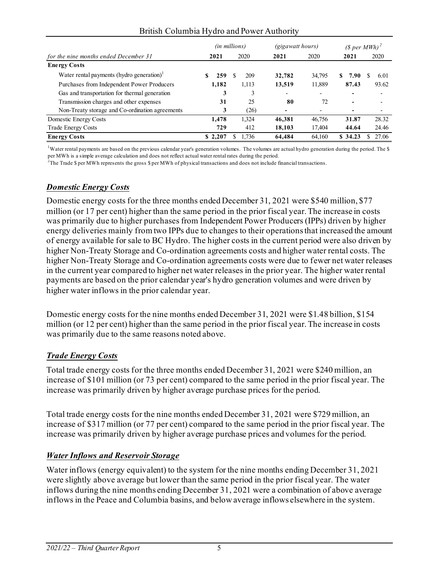| British Columbia Hydro and Power Authority |
|--------------------------------------------|
|--------------------------------------------|

|                                                                |         | <i>(in millions)</i> | <i>(gigawatt hours)</i> |        | (\$ per MWh) <sup>2</sup> |       |
|----------------------------------------------------------------|---------|----------------------|-------------------------|--------|---------------------------|-------|
| for the nine months ended December 31                          | 2021    | 2020                 | 2021                    | 2020   | 2021                      | 2020  |
| <b>Energy Costs</b>                                            |         |                      |                         |        |                           |       |
| Water rental payments (hydro generation) $\text{ }^{\text{!}}$ | 259     | 209                  | 32,782                  | 34,795 | 7.90<br>S                 | 6.01  |
| Purchases from Independent Power Producers                     | 1,182   | 1,113                | 13,519                  | 11,889 | 87.43                     | 93.62 |
| Gas and transportation for thermal generation                  | 3       | 3                    |                         |        |                           |       |
| Transmission charges and other expenses                        | 31      | 25                   | 80                      | 72     |                           |       |
| Non-Treaty storage and Co-ordination agreements                | 3       | (26)                 |                         |        |                           |       |
| Domestic Energy Costs                                          | 1.478   | 1.324                | 46,381                  | 46,756 | 31.87                     | 28.32 |
| <b>Trade Energy Costs</b>                                      | 729     | 412                  | 18,103                  | 17,404 | 44.64                     | 24.46 |
| <b>Energy Costs</b>                                            | \$2,207 | 1.736                | 64,484                  | 64.160 | \$ 34.23                  | 27.06 |

<sup>1</sup>Water rental payments are based on the previous calendar year's generation volumes. The volumes are actual hydro generation during the period. The \$ per MWh is a simple average calculation and does not reflect actual water rental rates during the period.

<sup>2</sup>The Trade \$ per MWh represents the gross \$ per MWh of physical transactions and does not include financial transactions.

### *Domestic Energy Costs*

Domestic energy costs for the three months ended December 31, 2021 were \$540 million, \$77 million (or 17 per cent) higher than the same period in the prior fiscal year. The increase in costs was primarily due to higher purchases from Independent Power Producers (IPPs) driven by higher energy deliveries mainly from two IPPs due to changes to their operations that increased the amount of energy available for sale to BC Hydro. The higher costs in the current period were also driven by higher Non-Treaty Storage and Co-ordination agreements costs and higher water rental costs. The higher Non-Treaty Storage and Co-ordination agreements costs were due to fewer net water releases in the current year compared to higher net water releases in the prior year. The higher water rental payments are based on the prior calendar year's hydro generation volumes and were driven by higher water inflows in the prior calendar year.

Domestic energy costs for the nine months ended December 31, 2021 were \$1.48 billion, \$154 million (or 12 per cent) higher than the same period in the prior fiscal year. The increase in costs was primarily due to the same reasons noted above.

### *Trade Energy Costs*

Total trade energy costs for the three months ended December 31, 2021 were \$240 million, an increase of \$101 million (or 73 per cent) compared to the same period in the prior fiscal year. The increase was primarily driven by higher average purchase prices for the period.

Total trade energy costs for the nine months ended December 31, 2021 were \$729 million, an increase of \$317 million (or 77 per cent) compared to the same period in the prior fiscal year. The increase was primarily driven by higher average purchase prices and volumes for the period.

### *Water Inflows and Reservoir Storage*

Water inflows (energy equivalent) to the system for the nine months ending December 31, 2021 were slightly above average but lower than the same period in the prior fiscal year. The water inflows during the nine months ending December 31, 2021 were a combination of above average inflows in the Peace and Columbia basins, and below average inflows elsewhere in the system.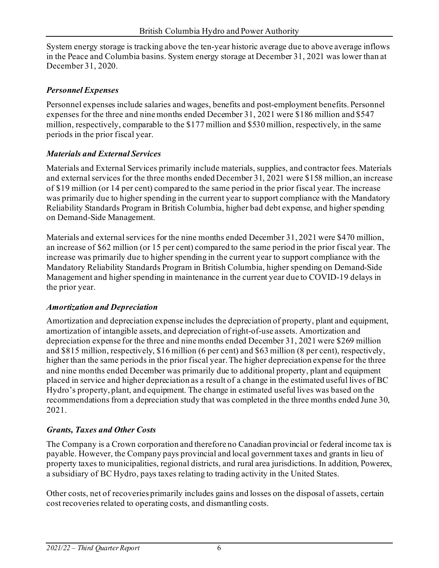System energy storage is tracking above the ten-year historic average due to above average inflows in the Peace and Columbia basins. System energy storage at December 31, 2021 was lower than at December 31, 2020.

# *Personnel Expenses*

Personnel expenses include salaries and wages, benefits and post-employment benefits. Personnel expenses for the three and nine months ended December 31, 2021 were \$186 million and \$547 million, respectively, comparable to the \$177 million and \$530 million, respectively, in the same periods in the prior fiscal year.

# *Materials and External Services*

Materials and External Services primarily include materials, supplies, and contractor fees. Materials and external services for the three months ended December 31, 2021 were \$158 million, an increase of \$19 million (or 14 per cent) compared to the same period in the prior fiscal year. The increase was primarily due to higher spending in the current year to support compliance with the Mandatory Reliability Standards Program in British Columbia, higher bad debt expense, and higher spending on Demand-Side Management.

Materials and external services for the nine months ended December 31, 2021 were \$470 million, an increase of \$62 million (or 15 per cent) compared to the same period in the prior fiscal year. The increase was primarily due to higher spending in the current year to support compliance with the Mandatory Reliability Standards Program in British Columbia, higher spending on Demand-Side Management and higher spending in maintenance in the current year due to COVID-19 delays in the prior year.

# *Amortization and Depreciation*

Amortization and depreciation expense includes the depreciation of property, plant and equipment, amortization of intangible assets, and depreciation of right-of-use assets. Amortization and depreciation expense for the three and nine months ended December 31, 2021 were \$269 million and \$815 million, respectively, \$16 million (6 per cent) and \$63 million (8 per cent), respectively, higher than the same periods in the prior fiscal year. The higher depreciation expense for the three and nine months ended December was primarily due to additional property, plant and equipment placed in service and higher depreciation as a result of a change in the estimated useful lives of BC Hydro's property, plant, and equipment. The change in estimated useful lives was based on the recommendations from a depreciation study that was completed in the three months ended June 30, 2021.

# *Grants, Taxes and Other Costs*

The Company is a Crown corporation and therefore no Canadian provincial or federal income tax is payable. However, the Company pays provincial and local government taxes and grants in lieu of property taxes to municipalities, regional districts, and rural area jurisdictions. In addition, Powerex, a subsidiary of BC Hydro, pays taxes relating to trading activity in the United States.

Other costs, net of recoveries primarily includes gains and losses on the disposal of assets, certain cost recoveries related to operating costs, and dismantling costs.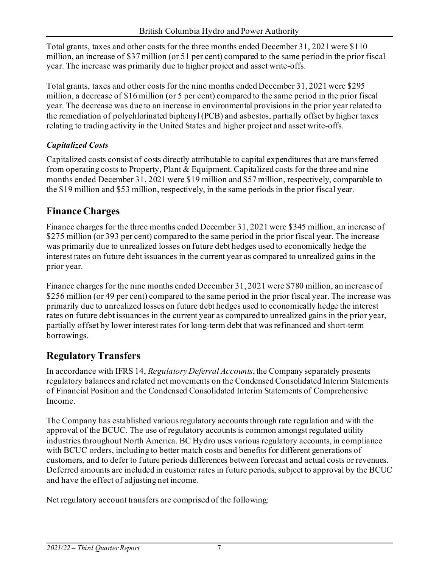Total grants, taxes and other costs for the three months ended December 31, 2021 were \$110 million, an increase of \$37 million (or 51 per cent) compared to the same period in the prior fiscal year. The increase was primarily due to higher project and asset write-offs.

Total grants, taxes and other costs for the nine months ended December 31, 2021 were \$295 million, a decrease of \$16 million (or 5 per cent) compared to the same period in the prior fiscal year. The decrease was due to an increase in environmental provisions in the prior year related to the remediation of polychlorinated biphenyl (PCB) and asbestos, partially offset by higher taxes relating to trading activity in the United States and higher project and asset write-offs.

# *Capitalized Costs*

Capitalized costs consist of costs directly attributable to capital expenditures that are transferred from operating costs to Property, Plant & Equipment. Capitalized costs for the three and nine months ended December 31, 2021 were \$19 million and \$57 million, respectively, comparable to the \$19 million and \$53 million, respectively, in the same periods in the prior fiscal year.

# **Finance Charges**

Finance charges for the three months ended December 31, 2021 were \$345 million, an increase of \$275 million (or 393 per cent) compared to the same period in the prior fiscal year. The increase was primarily due to unrealized losses on future debt hedges used to economically hedge the interest rates on future debt issuances in the current year as compared to unrealized gains in the prior year.

Finance charges for the nine months ended December 31, 2021 were \$780 million, an increase of \$256 million (or 49 per cent) compared to the same period in the prior fiscal year. The increase was primarily due to unrealized losses on future debt hedges used to economically hedge the interest rates on future debt issuances in the current year as compared to unrealized gains in the prior year, partially offset by lower interest rates for long-term debt that was refinanced and short-term borrowings.

# **Regulatory Transfers**

In accordance with IFRS 14, *Regulatory Deferral Accounts*, the Company separately presents regulatory balances and related net movements on the Condensed Consolidated Interim Statements of Financial Position and the Condensed Consolidated Interim Statements of Comprehensive Income.

The Company has established various regulatory accounts through rate regulation and with the approval of the BCUC. The use of regulatory accounts is common amongst regulated utility industries throughout North America. BC Hydro uses various regulatory accounts, in compliance with BCUC orders, including to better match costs and benefits for different generations of customers, and to defer to future periods differences between forecast and actual costs or revenues. Deferred amounts are included in customer rates in future periods, subject to approval by the BCUC and have the effect of adjusting net income.

Net regulatory account transfers are comprised of the following: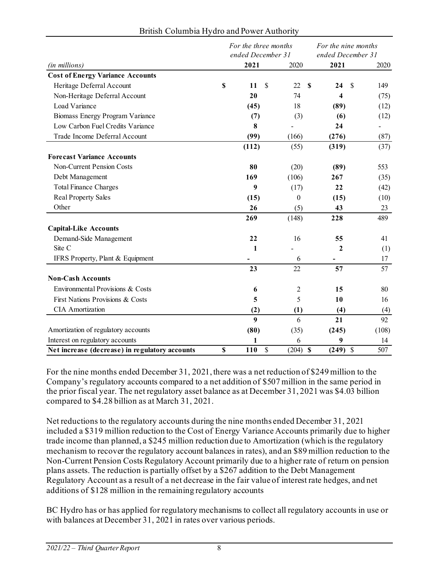|                                                | For the three months<br>ended December 31 |               | For the nine months<br>ended December 31 |                   |                      |  |  |  |
|------------------------------------------------|-------------------------------------------|---------------|------------------------------------------|-------------------|----------------------|--|--|--|
| (in millions)                                  | 2021                                      |               | 2020                                     | 2021              | 2020                 |  |  |  |
| <b>Cost of Energy Variance Accounts</b>        |                                           |               |                                          |                   |                      |  |  |  |
| Heritage Deferral Account                      | \$<br>11                                  | <sup>\$</sup> | 22                                       | $\mathbf S$<br>24 | $\mathcal{S}$<br>149 |  |  |  |
| Non-Heritage Deferral Account                  | 20                                        |               | 74                                       | 4                 | (75)                 |  |  |  |
| Load Variance                                  | (45)                                      |               | 18                                       | (89)              | (12)                 |  |  |  |
| Biomass Energy Program Variance                | (7)                                       |               | (3)                                      | (6)               | (12)                 |  |  |  |
| Low Carbon Fuel Credits Variance               | 8                                         |               |                                          | 24                |                      |  |  |  |
| Trade Income Deferral Account                  | (99)                                      |               | (166)                                    | (276)             | (87)                 |  |  |  |
|                                                | (112)                                     |               | (55)                                     | (319)             | (37)                 |  |  |  |
| <b>Forecast Variance Accounts</b>              |                                           |               |                                          |                   |                      |  |  |  |
| Non-Current Pension Costs                      | 80                                        |               | (20)                                     | (89)              | 553                  |  |  |  |
| Debt Management                                | 169                                       |               | (106)                                    | 267               | (35)                 |  |  |  |
| <b>Total Finance Charges</b>                   | 9                                         |               | (17)                                     | 22                | (42)                 |  |  |  |
| <b>Real Property Sales</b>                     | (15)                                      |               | $\theta$                                 | (15)              | (10)                 |  |  |  |
| Other                                          | 26                                        |               | (5)                                      | 43                | 23                   |  |  |  |
|                                                | 269                                       |               | (148)                                    | 228               | 489                  |  |  |  |
| <b>Capital-Like Accounts</b>                   |                                           |               |                                          |                   |                      |  |  |  |
| Demand-Side Management                         | 22                                        |               | 16                                       | 55                | 41                   |  |  |  |
| Site C                                         | 1                                         |               |                                          | $\mathbf{2}$      | (1)                  |  |  |  |
| IFRS Property, Plant & Equipment               |                                           |               | 6                                        | $\blacksquare$    | 17                   |  |  |  |
|                                                | 23                                        |               | 22                                       | 57                | 57                   |  |  |  |
| <b>Non-Cash Accounts</b>                       |                                           |               |                                          |                   |                      |  |  |  |
| Environmental Provisions & Costs               | 6                                         |               | 2                                        | 15                | 80                   |  |  |  |
| First Nations Provisions & Costs               | 5                                         |               | 5                                        | 10                | 16                   |  |  |  |
| <b>CIA</b> Amortization                        | (2)                                       |               | (1)                                      | (4)               | (4)                  |  |  |  |
|                                                | $\boldsymbol{9}$                          |               | 6                                        | 21                | 92                   |  |  |  |
| Amortization of regulatory accounts            | (80)                                      |               | (35)                                     | (245)             | (108)                |  |  |  |
| Interest on regulatory accounts                | 1                                         |               | 6                                        | 9                 | 14                   |  |  |  |
| Net increase (decrease) in regulatory accounts | \$<br>110                                 | $\mathcal{S}$ | $(204)$ \$                               | $(249)$ \$        | 507                  |  |  |  |

#### British Columbia Hydro and Power Authority

For the nine months ended December 31, 2021, there was a net reduction of \$249 million to the Company's regulatory accounts compared to a net addition of \$507 million in the same period in the prior fiscal year. The net regulatory asset balance as at December 31, 2021 was \$4.03 billion compared to \$4.28 billion as at March 31, 2021.

Net reductions to the regulatory accounts during the nine months ended December 31, 2021 included a \$319 million reduction to the Cost of Energy Variance Accounts primarily due to higher trade income than planned, a \$245 million reduction due to Amortization (which is the regulatory mechanism to recover the regulatory account balances in rates), and an \$89 million reduction to the Non-Current Pension Costs Regulatory Account primarily due to a higher rate of return on pension plans assets. The reduction is partially offset by a \$267 addition to the Debt Management Regulatory Account as a result of a net decrease in the fair value of interest rate hedges, and net additions of \$128 million in the remaining regulatory accounts

BC Hydro has or has applied for regulatory mechanisms to collect all regulatory accounts in use or with balances at December 31, 2021 in rates over various periods.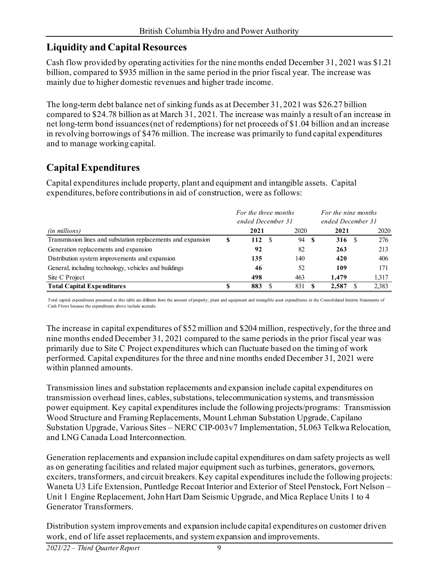# **Liquidity and Capital Resources**

Cash flow provided by operating activities for the nine months ended December 31, 2021 was \$1.21 billion, compared to \$935 million in the same period in the prior fiscal year. The increase was mainly due to higher domestic revenues and higher trade income.

The long-term debt balance net of sinking funds as at December 31, 2021 was \$26.27 billion compared to \$24.78 billion as at March 31, 2021. The increase was mainly a result of an increase in net long-term bond issuances (net of redemptions) for net proceeds of \$1.04 billion and an increase in revolving borrowings of \$476 million. The increase was primarily to fund capital expenditures and to manage working capital.

# **Capital Expenditures**

Capital expenditures include property, plant and equipment and intangible assets. Capital expenditures, before contributions in aid of construction, were as follows:

|                                                              |   | For the three months |     |     |      | For the nine months |       |  |  |  |
|--------------------------------------------------------------|---|----------------------|-----|-----|------|---------------------|-------|--|--|--|
|                                                              |   | ended December 31    |     |     |      | ended December 31   |       |  |  |  |
| (in millions)                                                |   | 2020<br>2021         |     |     |      | 2021                | 2020  |  |  |  |
| Transmission lines and substation replacements and expansion | S | 112                  | - S | 94  | - \$ | 316 S               | 276   |  |  |  |
| Generation replacements and expansion                        |   | 92                   |     | 82  |      | 263                 | 213   |  |  |  |
| Distribution system improvements and expansion               |   | 135                  |     | 140 |      | 420                 | 406   |  |  |  |
| General, including technology, vehicles and buildings        |   | 46                   |     | 52  |      | 109                 | 171   |  |  |  |
| Site C Project                                               |   | 498                  |     | 463 |      | 1.479               | 1,317 |  |  |  |
| <b>Total Capital Expenditures</b>                            |   | 883                  |     | 831 |      | 2,587               | 2,383 |  |  |  |

Total capital expenditures presented in this table are different from the amount of property, plant and equipment and intangible asset expenditures in the Consolidated Interim Statements of Cash Flows because the expenditures above include accruals.

The increase in capital expenditures of \$52 million and \$204 million, respectively, for the three and nine months ended December 31, 2021 compared to the same periods in the prior fiscal year was primarily due to Site C Project expenditures which can fluctuate based on the timing of work performed. Capital expenditures for the three and nine months ended December 31, 2021 were within planned amounts.

Transmission lines and substation replacements and expansion include capital expenditures on transmission overhead lines, cables, substations, telecommunication systems, and transmission power equipment. Key capital expenditures include the following projects/programs: Transmission Wood Structure and Framing Replacements, Mount Lehman Substation Upgrade, Capilano Substation Upgrade, Various Sites – NERC CIP-003v7 Implementation, 5L063 Telkwa Relocation, and LNG Canada Load Interconnection.

Generation replacements and expansion include capital expenditures on dam safety projects as well as on generating facilities and related major equipment such as turbines, generators, governors, exciters, transformers, and circuit breakers. Key capital expenditures include the following projects: Waneta U3 Life Extension, Puntledge Recoat Interior and Exterior of Steel Penstock, Fort Nelson – Unit 1 Engine Replacement, John Hart Dam Seismic Upgrade, and Mica Replace Units 1 to 4 Generator Transformers.

Distribution system improvements and expansion include capital expenditures on customer driven work, end of life asset replacements, and system expansion and improvements.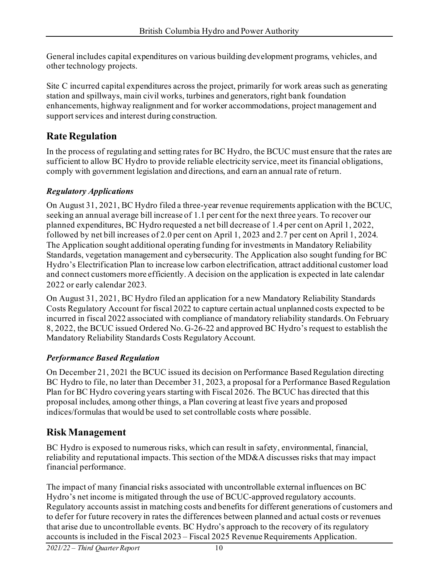General includes capital expenditures on various building development programs, vehicles, and other technology projects.

Site C incurred capital expenditures across the project, primarily for work areas such as generating station and spillways, main civil works, turbines and generators, right bank foundation enhancements, highway realignment and for worker accommodations, project management and support services and interest during construction.

# **Rate Regulation**

In the process of regulating and setting rates for BC Hydro, the BCUC must ensure that the rates are sufficient to allow BC Hydro to provide reliable electricity service, meet its financial obligations, comply with government legislation and directions, and earn an annual rate of return.

# *Regulatory Applications*

On August 31, 2021, BC Hydro filed a three-year revenue requirements application with the BCUC, seeking an annual average bill increase of 1.1 per cent for the next three years. To recover our planned expenditures, BC Hydro requested a net bill decrease of 1.4 per cent on April 1, 2022, followed by net bill increases of 2.0 per cent on April 1, 2023 and 2.7 per cent on April 1, 2024. The Application sought additional operating funding for investments in Mandatory Reliability Standards, vegetation management and cybersecurity. The Application also sought funding for BC Hydro's Electrification Plan to increase low carbon electrification, attract additional customer load and connect customers more efficiently. A decision on the application is expected in late calendar 2022 or early calendar 2023.

On August 31, 2021, BC Hydro filed an application for a new Mandatory Reliability Standards Costs Regulatory Account for fiscal 2022 to capture certain actual unplanned costs expected to be incurred in fiscal 2022 associated with compliance of mandatory reliability standards. On February 8, 2022, the BCUC issued Ordered No. G-26-22 and approved BC Hydro's request to establish the Mandatory Reliability Standards Costs Regulatory Account.

# *Performance Based Regulation*

On December 21, 2021 the BCUC issued its decision on Performance Based Regulation directing BC Hydro to file, no later than December 31, 2023, a proposal for a Performance Based Regulation Plan for BC Hydro covering years starting with Fiscal 2026. The BCUC has directed that this proposal includes, among other things, a Plan covering at least five years and proposed indices/formulas that would be used to set controllable costs where possible.

# **Risk Management**

BC Hydro is exposed to numerous risks, which can result in safety, environmental, financial, reliability and reputational impacts. This section of the MD&A discusses risks that may impact financial performance.

The impact of many financial risks associated with uncontrollable external influences on BC Hydro's net income is mitigated through the use of BCUC-approved regulatory accounts. Regulatory accounts assist in matching costs and benefits for different generations of customers and to defer for future recovery in rates the differences between planned and actual costs or revenues that arise due to uncontrollable events. BC Hydro's approach to the recovery of its regulatory accounts is included in the Fiscal 2023 – Fiscal 2025 Revenue Requirements Application.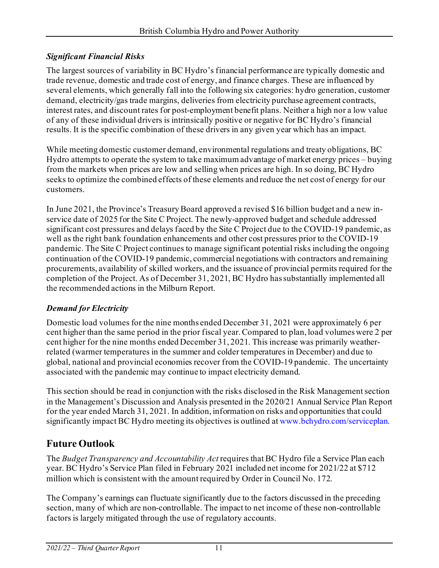## *Significant Financial Risks*

The largest sources of variability in BC Hydro's financial performance are typically domestic and trade revenue, domestic and trade cost of energy, and finance charges. These are influenced by several elements, which generally fall into the following six categories: hydro generation, customer demand, electricity/gas trade margins, deliveries from electricity purchase agreement contracts, interest rates, and discount rates for post-employment benefit plans. Neither a high nor a low value of any of these individual drivers is intrinsically positive or negative for BC Hydro's financial results. It is the specific combination of these drivers in any given year which has an impact.

While meeting domestic customer demand, environmental regulations and treaty obligations, BC Hydro attempts to operate the system to take maximum advantage of market energy prices – buying from the markets when prices are low and selling when prices are high. In so doing, BC Hydro seeks to optimize the combined effects of these elements and reduce the net cost of energy for our customers.

In June 2021, the Province's Treasury Board approved a revised \$16 billion budget and a new inservice date of 2025 for the Site C Project. The newly-approved budget and schedule addressed significant cost pressures and delays faced by the Site C Project due to the COVID-19 pandemic, as well as the right bank foundation enhancements and other cost pressures prior to the COVID-19 pandemic. The Site C Project continues to manage significant potential risks including the ongoing continuation of the COVID-19 pandemic, commercial negotiations with contractors and remaining procurements, availability of skilled workers, and the issuance of provincial permits required for the completion of the Project. As of December 31, 2021, BC Hydro has substantially implemented all the recommended actions in the Milburn Report.

# *Demand for Electricity*

Domestic load volumes for the nine months ended December 31, 2021 were approximately 6 per cent higher than the same period in the prior fiscal year. Compared to plan, load volumes were 2 per cent higher for the nine months ended December 31, 2021. This increase was primarily weatherrelated (warmer temperatures in the summer and colder temperatures in December) and due to global, national and provincial economies recover from the COVID-19 pandemic. The uncertainty associated with the pandemic may continue to impact electricity demand.

This section should be read in conjunction with the risks disclosed in the Risk Management section in the Management's Discussion and Analysis presented in the 2020/21 Annual Service Plan Report for the year ended March 31, 2021. In addition, information on risks and opportunities that could significantly impact BC Hydro meeting its objectives is outlined a[t www.bchydro.com/serviceplan.](http://www.bchydro.com/serviceplan)

# **Future Outlook**

The *Budget Transparency and Accountability Act* requires that BC Hydro file a Service Plan each year. BC Hydro's Service Plan filed in February 2021 included net income for 2021/22 at \$712 million which is consistent with the amount required by Order in Council No. 172.

The Company's earnings can fluctuate significantly due to the factors discussed in the preceding section, many of which are non-controllable. The impact to net income of these non-controllable factors is largely mitigated through the use of regulatory accounts.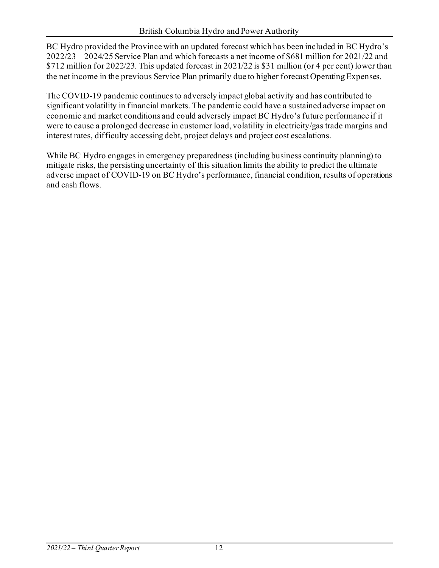BC Hydro provided the Province with an updated forecast which has been included in BC Hydro's 2022/23 – 2024/25 Service Plan and which forecasts a net income of \$681 million for 2021/22 and \$712 million for 2022/23. This updated forecast in 2021/22 is \$31 million (or 4 per cent) lower than the net income in the previous Service Plan primarily due to higher forecast Operating Expenses.

The COVID-19 pandemic continues to adversely impact global activity and has contributed to significant volatility in financial markets. The pandemic could have a sustained adverse impact on economic and market conditions and could adversely impact BC Hydro's future performance if it were to cause a prolonged decrease in customer load, volatility in electricity/gas trade margins and interest rates, difficulty accessing debt, project delays and project cost escalations.

While BC Hydro engages in emergency preparedness (including business continuity planning) to mitigate risks, the persisting uncertainty of this situation limits the ability to predict the ultimate adverse impact of COVID-19 on BC Hydro's performance, financial condition, results of operations and cash flows.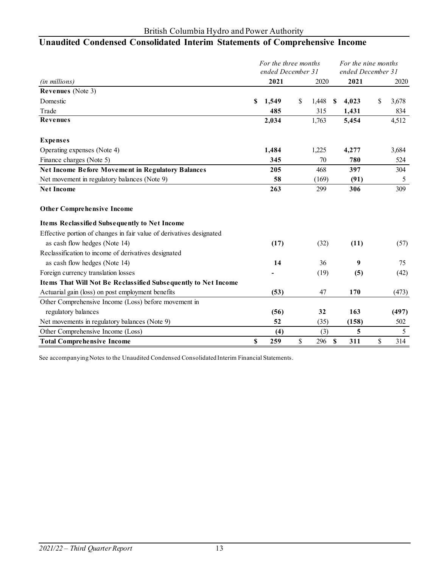# **Unaudited Condensed Consolidated Interim Statements of Comprehensive Income**

|                                                                      |    | For the three months<br>ended December 31 |             |   | For the nine months<br>ended December 31 |    |       |
|----------------------------------------------------------------------|----|-------------------------------------------|-------------|---|------------------------------------------|----|-------|
| (in millions)                                                        |    | 2021                                      | 2020        |   | 2021                                     |    | 2020  |
| <b>Revenues</b> (Note 3)                                             |    |                                           |             |   |                                          |    |       |
| Domestic                                                             | S  | 1,549                                     | \$<br>1,448 | S | 4,023                                    | \$ | 3,678 |
| Trade                                                                |    | 485                                       | 315         |   | 1,431                                    |    | 834   |
| <b>Revenues</b>                                                      |    | 2,034                                     | 1,763       |   | 5,454                                    |    | 4,512 |
| <b>Expenses</b>                                                      |    |                                           |             |   |                                          |    |       |
| Operating expenses (Note 4)                                          |    | 1,484                                     | 1,225       |   | 4,277                                    |    | 3,684 |
| Finance charges (Note 5)                                             |    | 345                                       | 70          |   | 780                                      |    | 524   |
| <b>Net Income Before Movement in Regulatory Balances</b>             |    | 205                                       | 468         |   | 397                                      |    | 304   |
| Net movement in regulatory balances (Note 9)                         |    | 58                                        | (169)       |   | (91)                                     |    | 5     |
| <b>Net Income</b>                                                    |    | 263                                       | 299         |   | 306                                      |    | 309   |
| <b>Other Comprehensive Income</b>                                    |    |                                           |             |   |                                          |    |       |
| Items Reclassified Subsequently to Net Income                        |    |                                           |             |   |                                          |    |       |
| Effective portion of changes in fair value of derivatives designated |    |                                           |             |   |                                          |    |       |
| as cash flow hedges (Note 14)                                        |    | (17)                                      | (32)        |   | (11)                                     |    | (57)  |
| Reclassification to income of derivatives designated                 |    |                                           |             |   |                                          |    |       |
| as cash flow hedges (Note 14)                                        |    | 14                                        | 36          |   | 9                                        |    | 75    |
| Foreign currency translation losses                                  |    |                                           | (19)        |   | (5)                                      |    | (42)  |
| Items That Will Not Be Reclassified Subsequently to Net Income       |    |                                           |             |   |                                          |    |       |
| Actuarial gain (loss) on post employment benefits                    |    | (53)                                      | 47          |   | 170                                      |    | (473) |
| Other Comprehensive Income (Loss) before movement in                 |    |                                           |             |   |                                          |    |       |
| regulatory balances                                                  |    | (56)                                      | 32          |   | 163                                      |    | (497) |
| Net movements in regulatory balances (Note 9)                        |    | 52                                        | (35)        |   | (158)                                    |    | 502   |
| Other Comprehensive Income (Loss)                                    |    | (4)                                       | (3)         |   | 5                                        |    | 5     |
| <b>Total Comprehensive Income</b>                                    | \$ | 259                                       | \$<br>296   | S | 311                                      | \$ | 314   |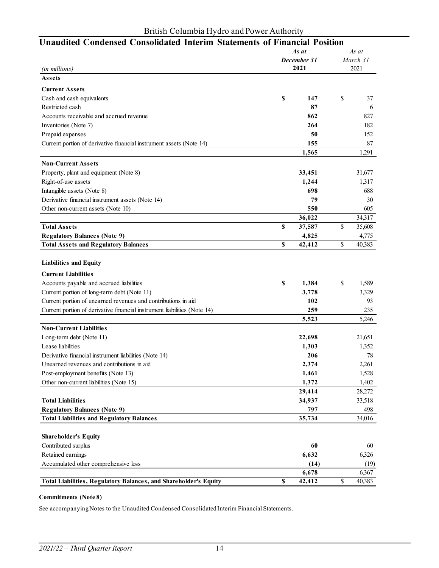|                                                                          |    | As at<br>March 31   |    |        |  |  |
|--------------------------------------------------------------------------|----|---------------------|----|--------|--|--|
|                                                                          |    | December 31<br>2021 |    |        |  |  |
| (in millions)                                                            |    |                     |    | 2021   |  |  |
| Assets                                                                   |    |                     |    |        |  |  |
| <b>Current Assets</b>                                                    |    |                     |    |        |  |  |
| Cash and cash equivalents                                                | \$ | 147                 | \$ | 37     |  |  |
| Restricted cash                                                          |    | 87                  |    | 6      |  |  |
| Accounts receivable and accrued revenue                                  |    | 862                 |    | 827    |  |  |
| Inventories (Note 7)                                                     |    | 264                 |    | 182    |  |  |
| Prepaid expenses                                                         |    | 50                  |    | 152    |  |  |
| Current portion of derivative financial instrument assets (Note 14)      |    | 155                 |    | 87     |  |  |
|                                                                          |    | 1,565               |    | 1,291  |  |  |
| <b>Non-Current Assets</b>                                                |    |                     |    |        |  |  |
| Property, plant and equipment (Note 8)                                   |    | 33,451              |    | 31,677 |  |  |
| Right-of-use assets                                                      |    | 1,244               |    | 1,317  |  |  |
| Intangible assets (Note 8)                                               |    | 698                 |    | 688    |  |  |
| Derivative financial instrument assets (Note 14)                         |    | 79                  |    | 30     |  |  |
| Other non-current assets (Note 10)                                       |    | 550                 |    | 605    |  |  |
|                                                                          |    | 36,022              |    | 34,317 |  |  |
| <b>Total Assets</b>                                                      | \$ | 37,587              | \$ | 35,608 |  |  |
| <b>Regulatory Balances (Note 9)</b>                                      |    | 4,825               |    | 4,775  |  |  |
| <b>Total Assets and Regulatory Balances</b>                              | \$ | 42,412              | \$ | 40,383 |  |  |
|                                                                          |    |                     |    |        |  |  |
| <b>Liabilities and Equity</b>                                            |    |                     |    |        |  |  |
| <b>Current Liabilities</b>                                               |    |                     |    |        |  |  |
| Accounts payable and accrued liabilities                                 | \$ | 1,384               | \$ | 1,589  |  |  |
| Current portion of long-term debt (Note 11)                              |    | 3,778               |    | 3,329  |  |  |
| Current portion of unearned revenues and contributions in aid            |    | 102                 |    | 93     |  |  |
| Current portion of derivative financial instrument liabilities (Note 14) |    | 259                 |    | 235    |  |  |
|                                                                          |    | 5,523               |    | 5,246  |  |  |
| <b>Non-Current Liabilities</b>                                           |    |                     |    |        |  |  |
| Long-term debt (Note 11)                                                 |    | 22,698              |    | 21,651 |  |  |
| Lease liabilities                                                        |    | 1,303               |    | 1,352  |  |  |
| Derivative financial instrument liabilities (Note 14)                    |    | 206                 |    | 78     |  |  |
| Unearned revenues and contributions in aid                               |    | 2,374               |    | 2,261  |  |  |
| Post-employment benefits (Note 13)                                       |    | 1,461               |    | 1,528  |  |  |
| Other non-current liabilities (Note 15)                                  |    | 1,372               |    | 1,402  |  |  |
|                                                                          |    | 29,414              |    | 28,272 |  |  |
| <b>Total Liabilities</b>                                                 |    | 34,937              |    | 33,518 |  |  |
| <b>Regulatory Balances (Note 9)</b>                                      |    | 797                 |    | 498    |  |  |
| <b>Total Liabilities and Regulatory Balances</b>                         |    | 35,734              |    | 34,016 |  |  |
|                                                                          |    |                     |    |        |  |  |
| Shareholder's Equity                                                     |    |                     |    |        |  |  |
| Contributed surplus                                                      |    | 60                  |    | 60     |  |  |
| Retained earnings                                                        |    | 6,632               |    | 6,326  |  |  |
| Accumulated other comprehensive loss                                     |    | (14)                |    | (19)   |  |  |
|                                                                          |    | 6,678               |    | 6,367  |  |  |
| Total Liabilities, Regulatory Balances, and Shareholder's Equity         | \$ | 42,412              | \$ | 40,383 |  |  |

# **Unaudited Condensed Consolidated Interim Statements of Financial Position**

#### **Commitments (Note 8)**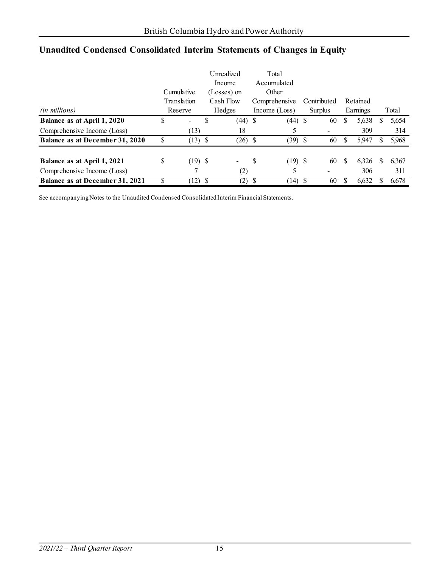|                                 |    |             |             | Unrealized     |   | Total           |      |             |          |          |   |       |
|---------------------------------|----|-------------|-------------|----------------|---|-----------------|------|-------------|----------|----------|---|-------|
|                                 |    |             |             | Income         |   | Accumulated     |      |             |          |          |   |       |
|                                 |    | Cumulative  | (Losses) on |                |   | Other           |      |             |          |          |   |       |
|                                 |    | Translation |             | Cash Flow      |   | Comprehensive   |      | Contributed |          | Retained |   |       |
| (in millions)                   |    | Reserve     |             | Hedges         |   | Income $(Loss)$ |      | Surplus     |          | Earnings |   | Total |
| Balance as at April 1, 2020     | \$ | Ξ.          | S           | $(44)$ \$      |   | (44)            | - \$ | 60          | \$       | 5,638    |   | 5,654 |
| Comprehensive Income (Loss)     |    | (13)        |             | 18             |   |                 |      |             |          | 309      |   | 314   |
| Balance as at December 31, 2020 | S  | $(13)$ \$   |             | $(26)$ \$      |   | $(39)$ \$       |      | 60          | <b>S</b> | 5,947    |   | 5,968 |
|                                 |    |             |             |                |   |                 |      |             |          |          |   |       |
| Balance as at April 1, 2021     | \$ | $(19)$ \$   |             | $\blacksquare$ | S | $(19)$ \$       |      | 60          | S        | 6,326    | S | 6,367 |
| Comprehensive Income (Loss)     |    |             |             | (2)            |   | Ć               |      |             |          | 306      |   | 311   |
| Balance as at December 31, 2021 | S  | $(12)$ \$   |             | (2)            | S | (14)            | -S   | 60          | S        | 6,632    |   | 6,678 |

# **Unaudited Condensed Consolidated Interim Statements of Changes in Equity**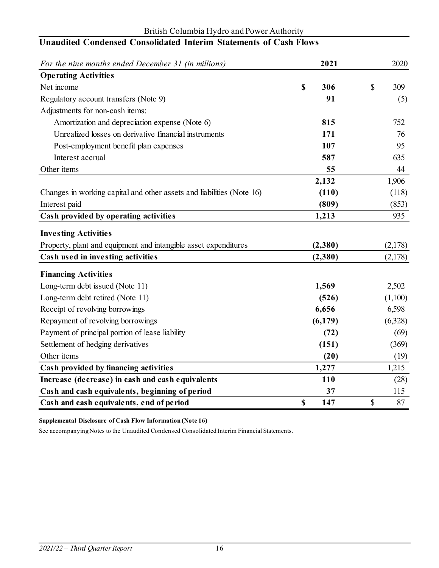| For the nine months ended December 31 (in millions)                   | 2021      | 2020      |
|-----------------------------------------------------------------------|-----------|-----------|
| <b>Operating Activities</b>                                           |           |           |
| Net income                                                            | \$<br>306 | \$<br>309 |
| Regulatory account transfers (Note 9)                                 | 91        | (5)       |
| Adjustments for non-cash items:                                       |           |           |
| Amortization and depreciation expense (Note 6)                        | 815       | 752       |
| Unrealized losses on derivative financial instruments                 | 171       | 76        |
| Post-employment benefit plan expenses                                 | 107       | 95        |
| Interest accrual                                                      | 587       | 635       |
| Other items                                                           | 55        | 44        |
|                                                                       | 2,132     | 1,906     |
| Changes in working capital and other assets and liabilities (Note 16) | (110)     | (118)     |
| Interest paid                                                         | (809)     | (853)     |
| Cash provided by operating activities                                 | 1,213     | 935       |
| <b>Investing Activities</b>                                           |           |           |
| Property, plant and equipment and intangible asset expenditures       | (2,380)   | (2,178)   |
| Cash used in investing activities                                     | (2,380)   | (2,178)   |
| <b>Financing Activities</b>                                           |           |           |
| Long-term debt issued (Note 11)                                       | 1,569     | 2,502     |
| Long-term debt retired (Note 11)                                      | (526)     | (1,100)   |
| Receipt of revolving borrowings                                       | 6,656     | 6,598     |
| Repayment of revolving borrowings                                     | (6,179)   | (6,328)   |
| Payment of principal portion of lease liability                       | (72)      | (69)      |
| Settlement of hedging derivatives                                     | (151)     | (369)     |
| Other items                                                           | (20)      | (19)      |
| Cash provided by financing activities                                 | 1,277     | 1,215     |
| Increase (decrease) in cash and cash equivalents                      | 110       | (28)      |
| Cash and cash equivalents, beginning of period                        | 37        | 115       |
| Cash and cash equivalents, end of period                              | \$<br>147 | \$<br>87  |

#### British Columbia Hydro and Power Authority **Unaudited Condensed Consolidated Interim Statements of Cash Flows**

**Supplemental Disclosure of Cash Flow Information (Note 16)**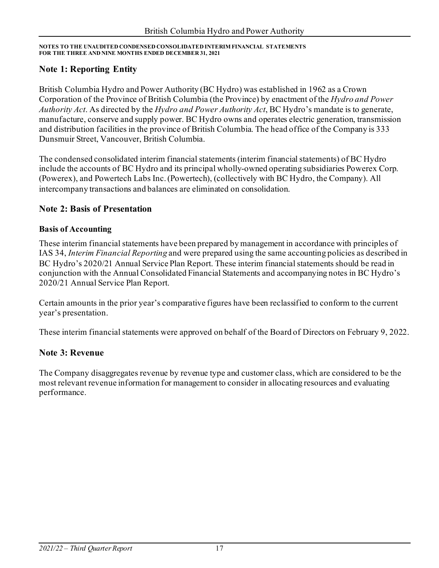## **Note 1: Reporting Entity**

British Columbia Hydro and Power Authority (BC Hydro) was established in 1962 as a Crown Corporation of the Province of British Columbia (the Province) by enactment of the *Hydro and Power Authority Act*. As directed by the *Hydro and Power Authority Act*, BC Hydro's mandate is to generate, manufacture, conserve and supply power. BC Hydro owns and operates electric generation, transmission and distribution facilities in the province of British Columbia. The head office of the Company is 333 Dunsmuir Street, Vancouver, British Columbia.

The condensed consolidated interim financial statements (interim financial statements) of BC Hydro include the accounts of BC Hydro and its principal wholly-owned operating subsidiaries Powerex Corp. (Powerex), and Powertech Labs Inc.(Powertech), (collectively with BC Hydro, the Company). All intercompany transactions and balances are eliminated on consolidation.

### **Note 2: Basis of Presentation**

#### **Basis of Accounting**

These interim financial statements have been prepared by management in accordance with principles of IAS 34, *Interim Financial Reporting* and were prepared using the same accounting policies as described in BC Hydro's 2020/21 Annual Service Plan Report. These interim financial statements should be read in conjunction with the Annual Consolidated Financial Statements and accompanying notes in BC Hydro's 2020/21 Annual Service Plan Report.

Certain amounts in the prior year's comparative figures have been reclassified to conform to the current year's presentation.

These interim financial statements were approved on behalf of the Board of Directors on February 9, 2022.

### **Note 3: Revenue**

The Company disaggregates revenue by revenue type and customer class, which are considered to be the most relevant revenue information for management to consider in allocating resources and evaluating performance.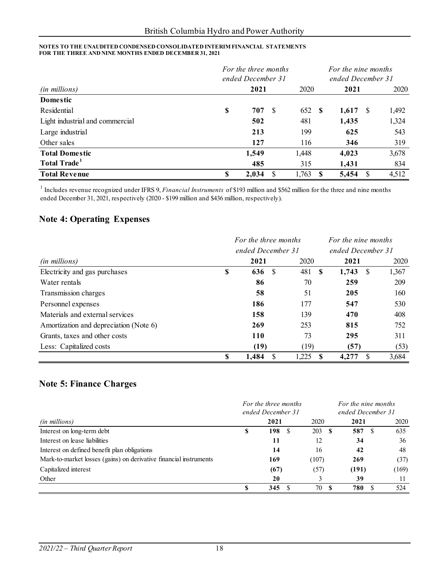| For the three months<br>ended December 31 |    |       |    |        | For the nine months<br>ended December 31 |            |   |       |  |
|-------------------------------------------|----|-------|----|--------|------------------------------------------|------------|---|-------|--|
| (in millions)                             |    | 2021  |    |        | 2020<br>2021                             |            |   | 2020  |  |
| Domestic                                  |    |       |    |        |                                          |            |   |       |  |
| Residential                               | \$ | 707   | -S | 652 \$ |                                          | $1,617$ \$ |   | 1,492 |  |
| Light industrial and commercial           |    | 502   |    | 481    |                                          | 1,435      |   | 1,324 |  |
| Large industrial                          |    | 213   |    | 199    |                                          | 625        |   | 543   |  |
| Other sales                               |    | 127   |    | 116    |                                          | 346        |   | 319   |  |
| <b>Total Domestic</b>                     |    | 1,549 |    | 1,448  |                                          | 4,023      |   | 3,678 |  |
| Total Trade <sup>1</sup>                  |    | 485   |    | 315    |                                          | 1,431      |   | 834   |  |
| <b>Total Revenue</b>                      | \$ | 2,034 | S  | 1,763  |                                          | 5,454      | S | 4,512 |  |

<sup>1</sup> Includes revenue recognized under IFRS 9, *Financial Instruments* of \$193 million and \$562 million for the three and nine months ended December 31, 2021, respectively (2020 - \$199 million and \$436 million, respectively).

# **Note 4: Operating Expenses**

|                                        |                   | For the three months |           | For the nine months |       |  |  |
|----------------------------------------|-------------------|----------------------|-----------|---------------------|-------|--|--|
|                                        | ended December 31 |                      |           | ended December 31   |       |  |  |
| (in millions)                          |                   | 2021                 | 2020      | 2021                | 2020  |  |  |
| Electricity and gas purchases          | \$                | \$<br>636            | 481<br>-S | 1,743<br>- \$       | 1,367 |  |  |
| Water rentals                          |                   | 86                   | 70        | 259                 | 209   |  |  |
| Transmission charges                   |                   | 58                   | 51        | 205                 | 160   |  |  |
| Personnel expenses                     |                   | 186                  | 177       | 547                 | 530   |  |  |
| Materials and external services        |                   | 158                  | 139       | 470                 | 408   |  |  |
| Amortization and depreciation (Note 6) |                   | 269                  | 253       | 815                 | 752   |  |  |
| Grants, taxes and other costs          |                   | 110                  | 73        | 295                 | 311   |  |  |
| Less: Capitalized costs                |                   | (19)                 | (19)      | (57)                | (53)  |  |  |
|                                        | \$                | 1,484<br>\$          | 1,225     | S<br>4,277          | 3,684 |  |  |

## **Note 5: Finance Charges**

|                                                                   | For the three months |                   |           | For the nine months |       |  |  |  |  |
|-------------------------------------------------------------------|----------------------|-------------------|-----------|---------------------|-------|--|--|--|--|
|                                                                   |                      | ended December 31 |           | ended December 31   |       |  |  |  |  |
| (in millions)                                                     |                      | 2021              | 2020      | 2021                | 2020  |  |  |  |  |
| Interest on long-term debt                                        | S                    | 198<br>-S         | 203S      | 587<br>S            | 635   |  |  |  |  |
| Interest on lease liabilities                                     |                      | 11                | 12        | 34                  | 36    |  |  |  |  |
| Interest on defined benefit plan obligations                      |                      | 14                | 16        | 42                  | 48    |  |  |  |  |
| Mark-to-market losses (gains) on derivative financial instruments |                      | 169               | (107)     | 269                 | (37)  |  |  |  |  |
| Capitalized interest                                              |                      | (67)              | (57)      | (191)               | (169) |  |  |  |  |
| Other                                                             |                      | 20                |           | 39                  | 11    |  |  |  |  |
|                                                                   |                      | 345               | 70<br>- 8 | 780<br>£.           | 524   |  |  |  |  |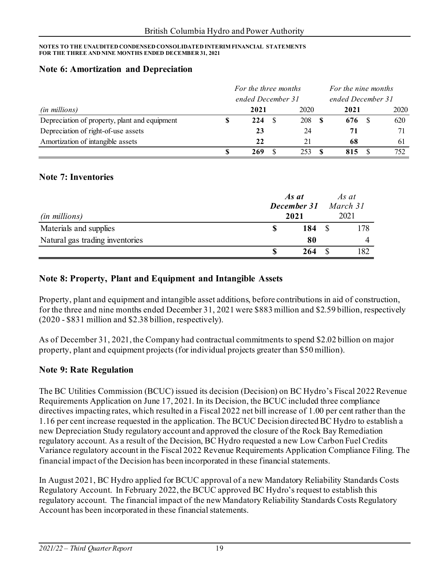#### **Note 6: Amortization and Depreciation**

|                                               | For the three months |                   |  |      |  | For the nine months |  |      |  |
|-----------------------------------------------|----------------------|-------------------|--|------|--|---------------------|--|------|--|
|                                               |                      | ended December 31 |  |      |  | ended December 31   |  |      |  |
| <i>(in millions)</i>                          |                      | 2021              |  | 2020 |  | 2021                |  | 2020 |  |
| Depreciation of property, plant and equipment |                      | 224               |  | 208  |  | 676                 |  | 620  |  |
| Depreciation of right-of-use assets           |                      | 23                |  | 24   |  | 71                  |  |      |  |
| Amortization of intangible assets             |                      | 22                |  | 21   |  | 68                  |  | 61   |  |
|                                               |                      | 269               |  | 253. |  | 815                 |  | 752  |  |

#### **Note 7: Inventories**

| <i>(in millions)</i>            | As at<br><b>December 31</b> March 31<br>2021 | As at<br>2021 |
|---------------------------------|----------------------------------------------|---------------|
| Materials and supplies          | 184                                          | 178           |
| Natural gas trading inventories | 80                                           |               |
|                                 | 264                                          | 182           |

#### **Note 8: Property, Plant and Equipment and Intangible Assets**

Property, plant and equipment and intangible asset additions, before contributions in aid of construction, for the three and nine months ended December 31, 2021 were \$883 million and \$2.59 billion, respectively (2020 - \$831 million and \$2.38 billion, respectively).

As of December 31, 2021, the Company had contractual commitments to spend \$2.02 billion on major property, plant and equipment projects (for individual projects greater than \$50 million).

#### **Note 9: Rate Regulation**

The BC Utilities Commission (BCUC) issued its decision (Decision) on BC Hydro's Fiscal 2022 Revenue Requirements Application on June 17, 2021. In its Decision, the BCUC included three compliance directives impacting rates, which resulted in a Fiscal 2022 net bill increase of 1.00 per cent rather than the 1.16 per cent increase requested in the application. The BCUC Decision directed BC Hydro to establish a new Depreciation Study regulatory account and approved the closure of the Rock Bay Remediation regulatory account. As a result of the Decision, BC Hydro requested a new Low Carbon Fuel Credits Variance regulatory account in the Fiscal 2022 Revenue Requirements Application Compliance Filing. The financial impact of the Decision has been incorporated in these financial statements.

In August 2021, BC Hydro applied for BCUC approval of a new Mandatory Reliability Standards Costs Regulatory Account. In February 2022, the BCUC approved BC Hydro's request to establish this regulatory account. The financial impact of the new Mandatory Reliability Standards Costs Regulatory Account has been incorporated in these financial statements.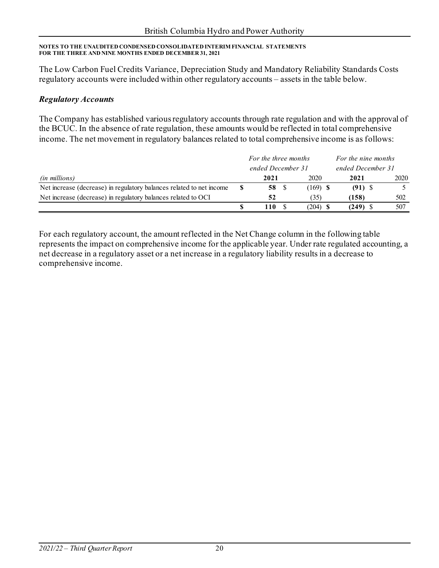The Low Carbon Fuel Credits Variance, Depreciation Study and Mandatory Reliability Standards Costs regulatory accounts were included within other regulatory accounts – assets in the table below.

### *Regulatory Accounts*

The Company has established various regulatory accounts through rate regulation and with the approval of the BCUC. In the absence of rate regulation, these amounts would be reflected in total comprehensive income. The net movement in regulatory balances related to total comprehensive income is as follows:

|                                                                      | For the three months |  |            |  | For the nine months |      |
|----------------------------------------------------------------------|----------------------|--|------------|--|---------------------|------|
|                                                                      | ended December 31    |  |            |  | ended December 31   |      |
| <i>(in millions)</i>                                                 | 2021                 |  | 2020       |  | 2021                | 2020 |
| Net increase (decrease) in regulatory balances related to net income | 58 S                 |  | $(169)$ \$ |  | $(91)$ \$           |      |
| Net increase (decrease) in regulatory balances related to OCI        | 52                   |  | (35)       |  | (158)               | 502  |
|                                                                      | 110                  |  | $(204)$ \$ |  | $(249)$ \$          | 507  |

For each regulatory account, the amount reflected in the Net Change column in the following table represents the impact on comprehensive income for the applicable year. Under rate regulated accounting, a net decrease in a regulatory asset or a net increase in a regulatory liability results in a decrease to comprehensive income.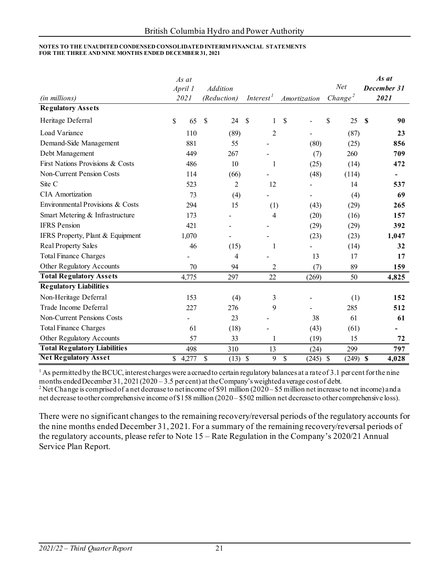| (in millions)                       | As at<br>April 1<br>2021 | <b>Addition</b><br>(Reduction) | Interest <sup>1</sup>           | Amortization             | Net<br>Change <sup>2</sup> | As at<br>December 31<br>2021       |
|-------------------------------------|--------------------------|--------------------------------|---------------------------------|--------------------------|----------------------------|------------------------------------|
| <b>Regulatory Assets</b>            |                          |                                |                                 |                          |                            |                                    |
| Heritage Deferral                   | \$<br>65                 | $\mathcal{S}$<br>24            | \$<br>1                         | \$                       | \$<br>25                   | \$<br>90                           |
| Load Variance                       | 110                      | (89)                           | $\overline{2}$                  |                          | (87)                       | 23                                 |
| Demand-Side Management              | 881                      | 55                             |                                 | (80)                     | (25)                       | 856                                |
| Debt Management                     | 449                      | 267                            |                                 | (7)                      | 260                        | 709                                |
| First Nations Provisions & Costs    | 486                      | 10                             | 1                               | (25)                     | (14)                       | 472                                |
| Non-Current Pension Costs           | 114                      | (66)                           |                                 | (48)                     | (114)                      | $\qquad \qquad \blacksquare$       |
| Site C                              | 523                      | $\overline{2}$                 | 12                              |                          | 14                         | 537                                |
| <b>CIA</b> Amortization             | 73                       | (4)                            |                                 | $\overline{\phantom{a}}$ | (4)                        | 69                                 |
| Environmental Provisions & Costs    | 294                      | 15                             | (1)                             | (43)                     | (29)                       | 265                                |
| Smart Metering & Infrastructure     | 173                      |                                | 4                               | (20)                     | (16)                       | 157                                |
| <b>IFRS</b> Pension                 | 421                      |                                |                                 | (29)                     | (29)                       | 392                                |
| IFRS Property, Plant & Equipment    | 1,070                    |                                |                                 | (23)                     | (23)                       | 1,047                              |
| <b>Real Property Sales</b>          | 46                       | (15)                           | 1                               |                          | (14)                       | 32                                 |
| <b>Total Finance Charges</b>        |                          | 4                              |                                 | 13                       | 17                         | 17                                 |
| Other Regulatory Accounts           | 70                       | 94                             | 2                               | (7)                      | 89                         | 159                                |
| <b>Total Regulatory Assets</b>      | 4,775                    | 297                            | 22                              | (269)                    | 50                         | 4,825                              |
| <b>Regulatory Liabilities</b>       |                          |                                |                                 |                          |                            |                                    |
| Non-Heritage Deferral               | 153                      | (4)                            | 3                               |                          | (1)                        | 152                                |
| Trade Income Deferral               | 227                      | 276                            | 9                               |                          | 285                        | 512                                |
| <b>Non-Current Pensions Costs</b>   |                          | 23                             |                                 | 38                       | 61                         | 61                                 |
| <b>Total Finance Charges</b>        | 61                       | (18)                           |                                 | (43)                     | (61)                       |                                    |
| Other Regulatory Accounts           | 57                       | 33                             | 1                               | (19)                     | 15                         | 72                                 |
| <b>Total Regulatory Liabilities</b> | 498                      | 310                            | 13                              | (24)                     | 299                        | 797                                |
| <b>Net Regulatory Asset</b>         | 4,277<br>\$              | $\$$<br>(13)                   | $\boldsymbol{\mathcal{S}}$<br>9 | $\$$<br>$(245)$ \$       | (249)                      | $\boldsymbol{\mathsf{S}}$<br>4,028 |

 $1$  As permitted by the BCUC, interest charges were a ccrued to certain regulatory balances at a rate of 3.1 per cent for the nine months ended December 31, 2021 (2020 – 3.5 per cent) at the Company's weighted a verage cost of debt.<br><sup>2</sup> Net Change is comprised of a net decrease to net income of \$91 million (2020 – \$5 million net increase to net incom

net decrease to other comprehensive income of \$158 million (2020 – \$502 million net decrease to other comprehensive loss).

There were no significant changes to the remaining recovery/reversal periods of the regulatory accounts for the nine months ended December 31, 2021. For a summary of the remaining recovery/reversal periods of the regulatory accounts, please refer to Note 15 – Rate Regulation in the Company's 2020/21 Annual Service Plan Report.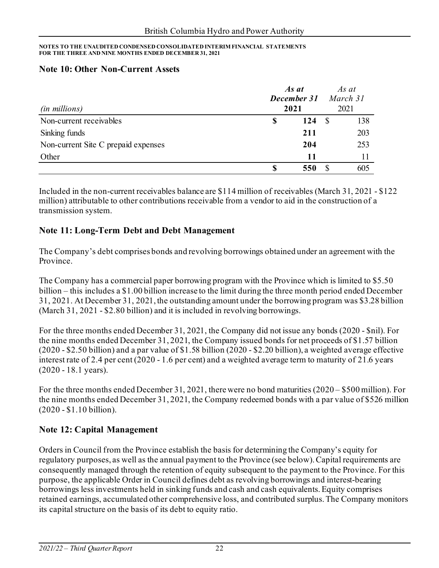#### **Note 10: Other Non-Current Assets**

|                                     | As at<br>December 31 |      |    |      |  |
|-------------------------------------|----------------------|------|----|------|--|
| (in millions)                       |                      | 2021 |    | 2021 |  |
| Non-current receivables             | \$                   | 124  | -S | 138  |  |
| Sinking funds                       |                      | 211  |    | 203  |  |
| Non-current Site C prepaid expenses |                      | 204  |    | 253  |  |
| Other                               |                      | 11   |    |      |  |
|                                     | \$                   | 550  |    | 605  |  |

Included in the non-current receivables balance are \$114 million of receivables (March 31, 2021 - \$122 million) attributable to other contributions receivable from a vendor to aid in the construction of a transmission system.

## **Note 11: Long-Term Debt and Debt Management**

The Company's debt comprises bonds and revolving borrowings obtained under an agreement with the Province.

The Company has a commercial paper borrowing program with the Province which is limited to \$5.50 billion – this includes a \$1.00 billion increase to the limit during the three month period ended December 31, 2021. At December 31, 2021, the outstanding amount under the borrowing program was \$3.28 billion (March 31, 2021 - \$2.80 billion) and it is included in revolving borrowings.

For the three months ended December 31, 2021, the Company did not issue any bonds (2020 - \$nil). For the nine months ended December 31, 2021, the Company issued bonds for net proceeds of \$1.57 billion (2020 - \$2.50 billion) and a par value of \$1.58 billion (2020 - \$2.20 billion), a weighted average effective interest rate of 2.4 per cent (2020 - 1.6 per cent) and a weighted average term to maturity of 21.6 years (2020 - 18.1 years).

For the three months ended December 31, 2021, there were no bond maturities (2020 – \$500 million). For the nine months ended December 31, 2021, the Company redeemed bonds with a par value of \$526 million (2020 - \$1.10 billion).

# **Note 12: Capital Management**

Orders in Council from the Province establish the basis for determining the Company's equity for regulatory purposes, as well as the annual payment to the Province (see below). Capital requirements are consequently managed through the retention of equity subsequent to the payment to the Province. For this purpose, the applicable Order in Council defines debt as revolving borrowings and interest-bearing borrowings less investments held in sinking funds and cash and cash equivalents. Equity comprises retained earnings, accumulated other comprehensive loss, and contributed surplus. The Company monitors its capital structure on the basis of its debt to equity ratio.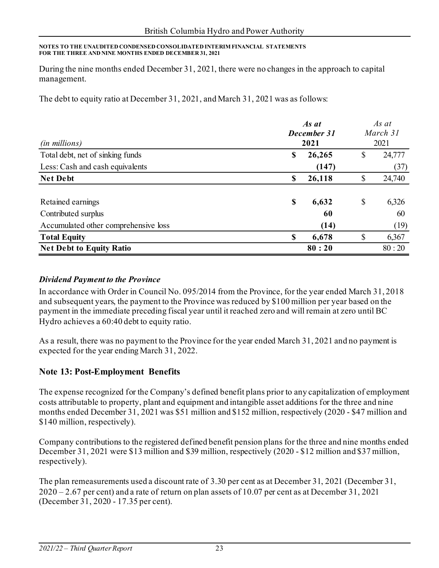During the nine months ended December 31, 2021, there were no changes in the approach to capital management.

The debt to equity ratio at December 31, 2021, and March 31, 2021 was as follows:

|                                      |             | As at  |          |        |  |  |
|--------------------------------------|-------------|--------|----------|--------|--|--|
|                                      | December 31 |        | March 31 |        |  |  |
| <i>(in millions)</i>                 |             | 2021   | 2021     |        |  |  |
| Total debt, net of sinking funds     | \$          | 26,265 | \$       | 24,777 |  |  |
| Less: Cash and cash equivalents      |             | (147)  |          | (37)   |  |  |
| <b>Net Debt</b>                      | \$          | 26,118 | \$       | 24,740 |  |  |
|                                      |             |        |          |        |  |  |
| Retained earnings                    | \$          | 6,632  | \$       | 6,326  |  |  |
| Contributed surplus                  |             | 60     |          | 60     |  |  |
| Accumulated other comprehensive loss |             | (14)   |          | (19)   |  |  |
| <b>Total Equity</b>                  | S           | 6,678  | \$       | 6,367  |  |  |
| <b>Net Debt to Equity Ratio</b>      |             | 80:20  |          | 80:20  |  |  |

#### *Dividend Payment to the Province*

In accordance with Order in Council No. 095/2014 from the Province, for the year ended March 31, 2018 and subsequent years, the payment to the Province was reduced by \$100 million per year based on the payment in the immediate preceding fiscal year until it reached zero and will remain at zero until BC Hydro achieves a 60:40 debt to equity ratio.

As a result, there was no payment to the Province for the year ended March 31, 2021 and no payment is expected for the year ending March 31, 2022.

### **Note 13: Post-Employment Benefits**

The expense recognized for the Company's defined benefit plans prior to any capitalization of employment costs attributable to property, plant and equipment and intangible asset additions for the three and nine months ended December 31, 2021 was \$51 million and \$152 million, respectively (2020 - \$47 million and \$140 million, respectively).

Company contributions to the registered defined benefit pension plans for the three and nine months ended December 31, 2021 were \$13 million and \$39 million, respectively (2020 - \$12 million and \$37 million, respectively).

The plan remeasurements used a discount rate of 3.30 per cent as at December 31, 2021 (December 31,  $2020 - 2.67$  per cent) and a rate of return on plan assets of 10.07 per cent as at December 31, 2021 (December 31, 2020 - 17.35 per cent).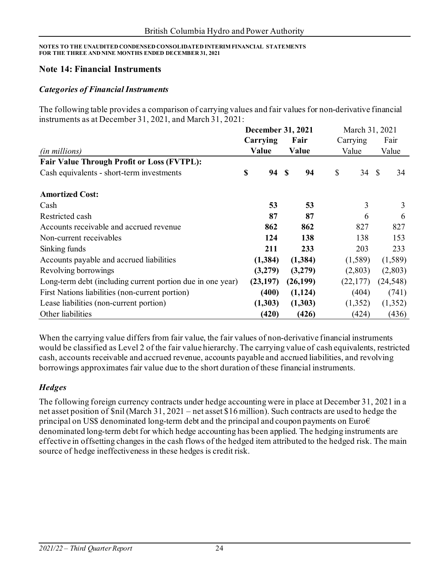#### **Note 14: Financial Instruments**

#### *Categories of Financial Instruments*

The following table provides a comparison of carrying values and fair values for non-derivative financial instruments as at December 31, 2021, and March 31, 2021:

|                                                            | <b>December 31, 2021</b> |  |           | March 31, 2021 |       |           |
|------------------------------------------------------------|--------------------------|--|-----------|----------------|-------|-----------|
|                                                            | Carrying                 |  | Fair      | Carrying       | Fair  |           |
| (in millions)                                              | Value                    |  | Value     | Value          | Value |           |
| <b>Fair Value Through Profit or Loss (FVTPL):</b>          |                          |  |           |                |       |           |
| Cash equivalents - short-term investments                  | \$<br>94 S               |  | 94        | \$<br>34       | -S    | 34        |
| <b>Amortized Cost:</b>                                     |                          |  |           |                |       |           |
| Cash                                                       | 53                       |  | 53        | 3              |       | 3         |
| Restricted cash                                            | 87                       |  | 87        | 6              |       | 6         |
| Accounts receivable and accrued revenue                    | 862                      |  | 862       | 827            |       | 827       |
| Non-current receivables                                    | 124                      |  | 138       | 138            |       | 153       |
| Sinking funds                                              | 211                      |  | 233       | 203            |       | 233       |
| Accounts payable and accrued liabilities                   | (1,384)                  |  | (1, 384)  | (1,589)        |       | (1,589)   |
| Revolving borrowings                                       | (3,279)                  |  | (3,279)   | (2,803)        |       | (2,803)   |
| Long-term debt (including current portion due in one year) | (23, 197)                |  | (26, 199) | (22, 177)      |       | (24, 548) |
| First Nations liabilities (non-current portion)            | (400)                    |  | (1, 124)  | (404)          |       | (741)     |
| Lease liabilities (non-current portion)                    | (1,303)                  |  | (1,303)   | (1,352)        |       | (1,352)   |
| Other liabilities                                          | (420)                    |  | (426)     | (424)          |       | (436)     |

When the carrying value differs from fair value, the fair values of non-derivative financial instruments would be classified as Level 2 of the fair value hierarchy. The carrying value of cash equivalents, restricted cash, accounts receivable and accrued revenue, accounts payable and accrued liabilities, and revolving borrowings approximates fair value due to the short duration of these financial instruments.

### *Hedges*

The following foreign currency contracts under hedge accounting were in place at December 31, 2021 in a net asset position of \$nil (March 31, 2021 – net asset \$16 million). Such contracts are used to hedge the principal on US\$ denominated long-term debt and the principal and coupon payments on Euro $\epsilon$ denominated long-term debt for which hedge accounting has been applied. The hedging instruments are effective in offsetting changes in the cash flows of the hedged item attributed to the hedged risk. The main source of hedge ineffectiveness in these hedges is credit risk.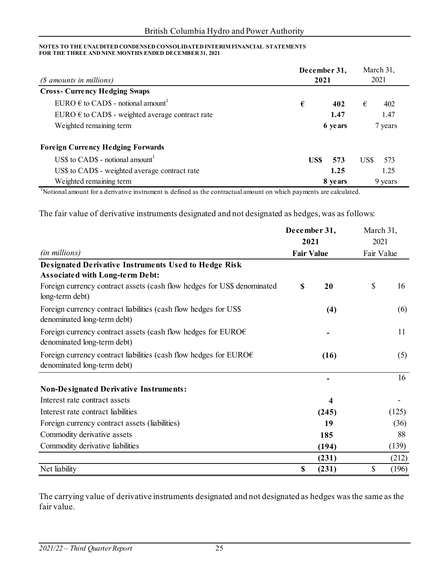| (\$ amounts in millions)                                  | December 31,<br>2021 | March 31,<br>2021 |
|-----------------------------------------------------------|----------------------|-------------------|
| <b>Cross-Currency Hedging Swaps</b>                       |                      |                   |
| EURO $\epsilon$ to CAD\$ - notional amount <sup>1</sup>   | €<br>402             | €<br>402          |
| EURO $\epsilon$ to CAD\$ - weighted average contract rate | 1.47                 | 1.47              |
| Weighted remaining term                                   | 6 years              | 7 years           |
| <b>Foreign Currency Hedging Forwards</b>                  |                      |                   |
| US\$ to CAD\$ - notional amount <sup>1</sup>              | US\$<br>573          | US\$<br>573       |
| US\$ to CAD\$ - weighted average contract rate            | 1.25                 | 1.25              |
| Weighted remaining term                                   | 8 years              | 9 years           |

<sup>1</sup>Notional amount for a derivative instrument is defined as the contractual amount on which payments are calculated.

The fair value of derivative instruments designated and not designated as hedges, was as follows:

|                                                                                                            | December 31,      |       | March 31,<br>2021 |       |  |
|------------------------------------------------------------------------------------------------------------|-------------------|-------|-------------------|-------|--|
|                                                                                                            | 2021              |       |                   |       |  |
| (in millions)                                                                                              | <b>Fair Value</b> |       | Fair Value        |       |  |
| <b>Designated Derivative Instruments Used to Hedge Risk</b><br><b>Associated with Long-term Debt:</b>      |                   |       |                   |       |  |
| Foreign currency contract assets (cash flow hedges for US\$ denominated<br>long-term debt)                 | $\mathbf S$       | 20    | \$                | 16    |  |
| Foreign currency contract liabilities (cash flow hedges for US\$<br>denominated long-term debt)            |                   | (4)   |                   | (6)   |  |
| Foreign currency contract assets (cash flow hedges for EURO $\epsilon$<br>denominated long-term debt)      |                   |       |                   | 11    |  |
| Foreign currency contract liabilities (cash flow hedges for EURO $\epsilon$<br>denominated long-term debt) |                   | (16)  |                   | (5)   |  |
|                                                                                                            |                   |       |                   | 16    |  |
| <b>Non-Designated Derivative Instruments:</b>                                                              |                   |       |                   |       |  |
| Interest rate contract assets                                                                              |                   | 4     |                   |       |  |
| Interest rate contract liabilities                                                                         |                   | (245) |                   | (125) |  |
| Foreign currency contract assets (liabilities)                                                             |                   | 19    |                   | (36)  |  |
| Commodity derivative assets                                                                                |                   | 185   |                   | 88    |  |
| Commodity derivative liabilities                                                                           |                   | (194) |                   | (139) |  |
|                                                                                                            |                   | (231) |                   | (212) |  |
| Net liability                                                                                              | \$                | (231) | \$                | (196) |  |

The carrying value of derivative instruments designated and not designated as hedges was the same as the fair value.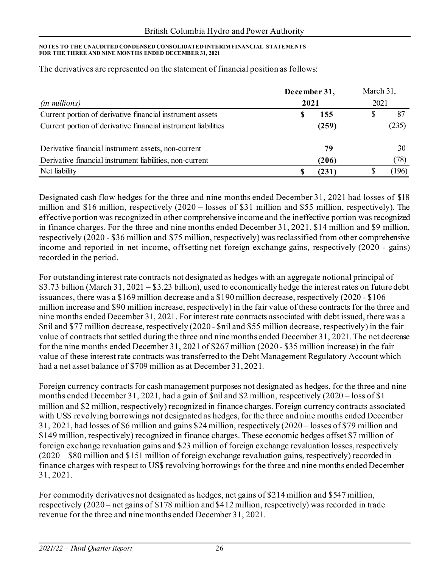|                                                                | December 31, | March 31, |  |       |  |  |
|----------------------------------------------------------------|--------------|-----------|--|-------|--|--|
| <i>(in millions)</i>                                           | 2021         |           |  | 2021  |  |  |
| Current portion of derivative financial instrument assets      |              | 155       |  | 87    |  |  |
| Current portion of derivative financial instrument liabilities |              | (259)     |  | (235) |  |  |
| Derivative financial instrument assets, non-current            |              | 79        |  | 30    |  |  |
| Derivative financial instrument liabilities, non-current       |              | (206)     |  | (78)  |  |  |
| Net liability                                                  |              | (231)     |  | (196) |  |  |

The derivatives are represented on the statement of financial position as follows:

Designated cash flow hedges for the three and nine months ended December 31, 2021 had losses of \$18 million and \$16 million, respectively (2020 – losses of \$31 million and \$55 million, respectively). The effective portion was recognized in other comprehensive income and the ineffective portion was recognized in finance charges. For the three and nine months ended December 31, 2021, \$14 million and \$9 million, respectively (2020 - \$36 million and \$75 million, respectively) was reclassified from other comprehensive income and reported in net income, offsetting net foreign exchange gains, respectively (2020 - gains) recorded in the period.

For outstanding interest rate contracts not designated as hedges with an aggregate notional principal of \$3.73 billion (March 31, 2021 – \$3.23 billion), used to economically hedge the interest rates on future debt issuances, there was a \$169 million decrease and a \$190 million decrease, respectively (2020 - \$106 million increase and \$90 million increase, respectively) in the fair value of these contracts for the three and nine months ended December 31, 2021. For interest rate contracts associated with debt issued, there was a \$nil and \$77 million decrease, respectively (2020 - \$nil and \$55 million decrease, respectively) in the fair value of contracts that settled during the three and nine months ended December 31, 2021. The net decrease for the nine months ended December 31, 2021 of \$267 million (2020 - \$35 million increase) in the fair value of these interest rate contracts was transferred to the Debt Management Regulatory Account which had a net asset balance of \$709 million as at December 31, 2021.

Foreign currency contracts for cash management purposes not designated as hedges, for the three and nine months ended December 31, 2021, had a gain of \$nil and \$2 million, respectively (2020 – loss of \$1 million and \$2 million, respectively) recognized in finance charges. Foreign currency contracts associated with US\$ revolving borrowings not designated as hedges, for the three and nine months ended December 31, 2021, had losses of \$6 million and gains \$24 million, respectively (2020 – losses of \$79 million and \$149 million, respectively) recognized in finance charges. These economic hedges offset \$7 million of foreign exchange revaluation gains and \$23 million of foreign exchange revaluation losses, respectively (2020 – \$80 million and \$151 million of foreign exchange revaluation gains, respectively) recorded in finance charges with respect to US\$ revolving borrowings for the three and nine months ended December 31, 2021.

For commodity derivatives not designated as hedges, net gains of \$214 million and \$547 million, respectively (2020 – net gains of \$178 million and \$412 million, respectively) was recorded in trade revenue for the three and nine months ended December 31, 2021.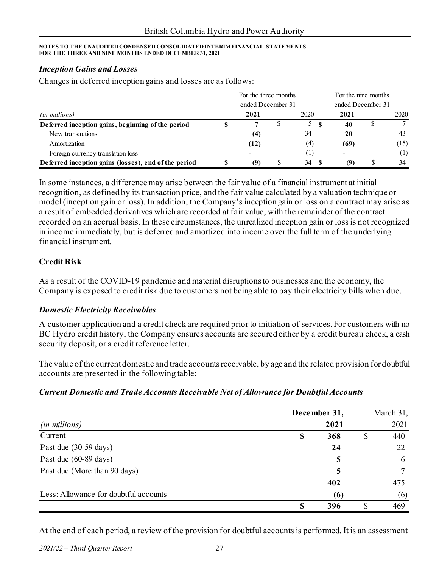#### *Inception Gains and Losses*

Changes in deferred inception gains and losses are as follows:

|                                                      | For the three months |  | For the nine months |                   |  |      |
|------------------------------------------------------|----------------------|--|---------------------|-------------------|--|------|
|                                                      | ended December 31    |  |                     | ended December 31 |  |      |
| (in millions)                                        | 2021                 |  | 2020                | 2021              |  | 2020 |
| Deferred inception gains, beginning of the period    |                      |  | 5S                  | 40                |  |      |
| New transactions                                     | (4)                  |  | 34                  | 20                |  | 43   |
| Amortization                                         | (12)                 |  | (4)                 | (69)              |  | (15) |
| Foreign currency translation loss                    |                      |  |                     |                   |  | (1)  |
| Deferred inception gains (losses), end of the period | (9)                  |  | 34                  | (9)               |  | 34   |

In some instances, a difference may arise between the fair value of a financial instrument at initial recognition, as defined by its transaction price, and the fair value calculated by a valuation technique or model (inception gain or loss). In addition, the Company's inception gain or loss on a contract may arise as a result of embedded derivatives which are recorded at fair value, with the remainder of the contract recorded on an accrual basis. In these circumstances, the unrealized inception gain or loss is not recognized in income immediately, but is deferred and amortized into income over the full term of the underlying financial instrument.

#### **Credit Risk**

As a result of the COVID-19 pandemic and material disruptions to businesses and the economy, the Company is exposed to credit risk due to customers not being able to pay their electricity bills when due.

#### *Domestic Electricity Receivables*

A customer application and a credit check are required prior to initiation of services. For customers with no BC Hydro credit history, the Company ensures accounts are secured either by a credit bureau check, a cash security deposit, or a credit reference letter.

The value of the current domestic and trade accounts receivable, by age and the related provision for doubtful accounts are presented in the following table:

#### *Current Domestic and Trade Accounts Receivable Net of Allowance for Doubtful Accounts*

|                                       |   | December 31, |    |      |
|---------------------------------------|---|--------------|----|------|
| ( <i>in millions</i> )                |   | 2021         |    | 2021 |
| Current                               | S | 368          | \$ | 440  |
| Past due (30-59 days)                 |   | 24           |    | 22   |
| Past due (60-89 days)                 |   | 5            |    | 6    |
| Past due (More than 90 days)          |   | 5            |    |      |
|                                       |   | 402          |    | 475  |
| Less: Allowance for doubtful accounts |   | (6)          |    | (6)  |
|                                       | S | 396          |    | 469  |

At the end of each period, a review of the provision for doubtful accounts is performed. It is an assessment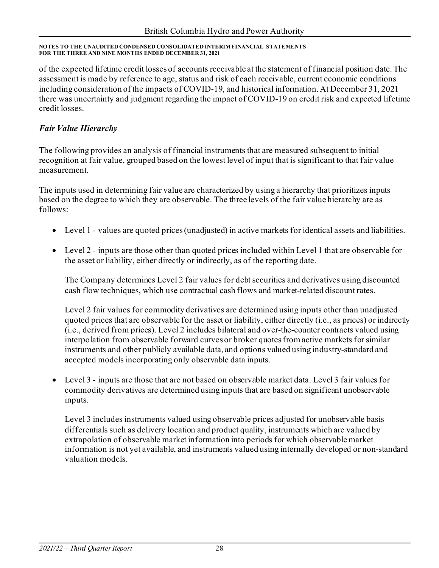of the expected lifetime credit losses of accounts receivable at the statement of financial position date. The assessment is made by reference to age, status and risk of each receivable, current economic conditions including consideration of the impacts of COVID-19, and historical information. At December 31, 2021 there was uncertainty and judgment regarding the impact of COVID-19 on credit risk and expected lifetime credit losses.

## *Fair Value Hierarchy*

The following provides an analysis of financial instruments that are measured subsequent to initial recognition at fair value, grouped based on the lowest level of input that is significant to that fair value measurement.

The inputs used in determining fair value are characterized by using a hierarchy that prioritizes inputs based on the degree to which they are observable. The three levels of the fair value hierarchy are as follows:

- Level 1 values are quoted prices (unadjusted) in active markets for identical assets and liabilities.
- Level 2 inputs are those other than quoted prices included within Level 1 that are observable for the asset or liability, either directly or indirectly, as of the reporting date.

The Company determines Level 2 fair values for debt securities and derivatives using discounted cash flow techniques, which use contractual cash flows and market-related discount rates.

Level 2 fair values for commodity derivatives are determined using inputs other than unadjusted quoted prices that are observable for the asset or liability, either directly (i.e., as prices) or indirectly (i.e., derived from prices). Level 2 includes bilateral and over-the-counter contracts valued using interpolation from observable forward curves or broker quotes from active markets for similar instruments and other publicly available data, and options valued using industry-standard and accepted models incorporating only observable data inputs.

• Level 3 - inputs are those that are not based on observable market data. Level 3 fair values for commodity derivatives are determined using inputs that are based on significant unobservable inputs.

Level 3 includes instruments valued using observable prices adjusted for unobservable basis differentials such as delivery location and product quality, instruments which are valued by extrapolation of observable market information into periods for which observable market information is not yet available, and instruments valued using internally developed or non-standard valuation models.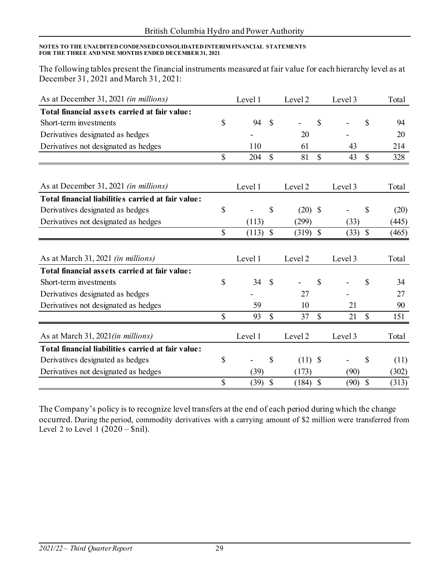The following tables present the financial instruments measured at fair value for each hierarchy level as at December 31, 2021 and March 31, 2021:

| As at December 31, 2021 (in millions)              |              | Level 1 |                           | Level 2                      |               | Level 3 |               | Total |
|----------------------------------------------------|--------------|---------|---------------------------|------------------------------|---------------|---------|---------------|-------|
| Total financial assets carried at fair value:      |              |         |                           |                              |               |         |               |       |
| Short-term investments                             | \$           | 94      | \$                        | $\qquad \qquad \blacksquare$ | \$            |         | \$            | 94    |
| Derivatives designated as hedges                   |              |         |                           | 20                           |               |         |               | 20    |
| Derivatives not designated as hedges               |              | 110     |                           | 61                           |               | 43      |               | 214   |
|                                                    | $\mathbb{S}$ | 204     | $\mathcal{S}$             | 81                           | $\mathcal{S}$ | 43      | $\mathcal{S}$ | 328   |
|                                                    |              |         |                           |                              |               |         |               |       |
| As at December 31, 2021 <i>(in millions)</i>       |              | Level 1 |                           | Level 2                      |               | Level 3 |               | Total |
| Total financial liabilities carried at fair value: |              |         |                           |                              |               |         |               |       |
| Derivatives designated as hedges                   | \$           |         | \$                        | $(20)$ \$                    |               |         | \$            | (20)  |
| Derivatives not designated as hedges               |              | (113)   |                           | (299)                        |               | (33)    |               | (445) |
|                                                    | $\mathbb{S}$ | (113)   | $\boldsymbol{\mathsf{S}}$ | $(319)$ \$                   |               | (33)    | $\mathbb{S}$  | (465) |
| As at March 31, 2021 (in millions)                 |              | Level 1 |                           | Level 2                      |               | Level 3 |               | Total |
| Total financial assets carried at fair value:      |              |         |                           |                              |               |         |               |       |
| Short-term investments                             | \$           | 34      | $\mathcal{S}$             |                              | \$            |         | \$            | 34    |
| Derivatives designated as hedges                   |              |         |                           | 27                           |               |         |               | 27    |
| Derivatives not designated as hedges               |              | 59      |                           | 10                           |               | 21      |               | 90    |
|                                                    | \$           | 93      | $\mathbb{S}$              | 37                           | $\mathcal{S}$ | 21      | $\mathbf S$   | 151   |
| As at March 31, 2021(in millions)                  |              | Level 1 |                           | Level 2                      |               | Level 3 |               | Total |
| Total financial liabilities carried at fair value: |              |         |                           |                              |               |         |               |       |
| Derivatives designated as hedges                   | \$           |         | \$                        | $(11)$ \$                    |               |         | \$            | (11)  |
| Derivatives not designated as hedges               |              | (39)    |                           | (173)                        |               | (90)    |               | (302) |
|                                                    | \$           | (39)    | $\mathcal{S}$             | (184)                        | $\mathcal{S}$ | (90)    | $\mathcal{S}$ | (313) |

The Company's policy is to recognize level transfers at the end of each period during which the change occurred. During the period, commodity derivatives with a carrying amount of \$2 million were transferred from Level 2 to Level 1  $(2020 - Snil)$ .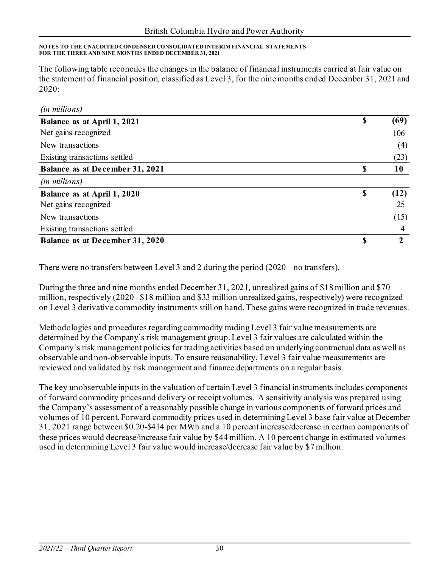The following table reconciles the changes in the balance of financial instruments carried at fair value on the statement of financial position, classified as Level 3, for the nine months ended December 31, 2021 and 2020:

| (in millions)                          |               |      |
|----------------------------------------|---------------|------|
| Balance as at April 1, 2021            | $\mathbf S$   | (69) |
| Net gains recognized                   |               | 106  |
| New transactions                       |               | (4)  |
| Existing transactions settled          |               | (23) |
| <b>Balance as at December 31, 2021</b> | S             | 10   |
| (in millions)                          |               |      |
| Balance as at April 1, 2020            | <sup>\$</sup> | (12) |
| Net gains recognized                   |               | 25   |
| New transactions                       |               | (15) |
| Existing transactions settled          |               | 4    |
| <b>Balance as at December 31, 2020</b> | \$.           |      |

There were no transfers between Level 3 and 2 during the period (2020 – no transfers).

During the three and nine months ended December 31, 2021, unrealized gains of \$18 million and \$70 million, respectively (2020 - \$18 million and \$33 million unrealized gains, respectively) were recognized on Level 3 derivative commodity instruments still on hand. These gains were recognized in trade revenues.

Methodologies and procedures regarding commodity trading Level 3 fair value measurements are determined by the Company's risk management group. Level 3 fair values are calculated within the Company's risk management policies for trading activities based on underlying contractual data as well as observable and non-observable inputs. To ensure reasonability, Level 3 fair value measurements are reviewed and validated by risk management and finance departments on a regular basis.

The key unobservable inputs in the valuation of certain Level 3 financial instruments includes components of forward commodity prices and delivery or receipt volumes. A sensitivity analysis was prepared using the Company's assessment of a reasonably possible change in various components of forward prices and volumes of 10 percent. Forward commodity prices used in determining Level 3 base fair value at December 31, 2021 range between \$0.20-\$414 per MWh and a 10 percent increase/decrease in certain components of these prices would decrease/increase fair value by \$44 million. A 10 percent change in estimated volumes used in determining Level 3 fair value would increase/decrease fair value by \$7 million.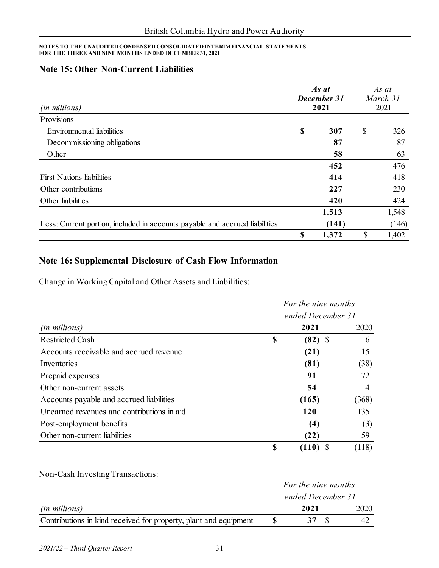### **Note 15: Other Non-Current Liabilities**

| (in millions)                                                               | As at<br>December 31<br>2021 |       | As at<br>March 31<br>2021 |       |
|-----------------------------------------------------------------------------|------------------------------|-------|---------------------------|-------|
| Provisions                                                                  |                              |       |                           |       |
| Environmental liabilities                                                   | \$                           | 307   | \$                        | 326   |
| Decommissioning obligations                                                 |                              | 87    |                           | 87    |
| Other                                                                       |                              | 58    |                           | 63    |
|                                                                             |                              | 452   |                           | 476   |
| <b>First Nations liabilities</b>                                            |                              | 414   |                           | 418   |
| Other contributions                                                         |                              | 227   |                           | 230   |
| Other liabilities                                                           |                              | 420   |                           | 424   |
|                                                                             |                              | 1,513 |                           | 1,548 |
| Less: Current portion, included in accounts payable and accrued liabilities |                              | (141) |                           | (146) |
|                                                                             | S                            | 1,372 | \$                        | 1,402 |

## **Note 16: Supplemental Disclosure of Cash Flow Information**

Change in Working Capital and Other Assets and Liabilities:

|                                            |    | For the nine months<br>ended December 31 |                |  |  |  |  |
|--------------------------------------------|----|------------------------------------------|----------------|--|--|--|--|
|                                            |    |                                          |                |  |  |  |  |
| ( <i>in millions</i> )                     |    | 2021                                     | 2020           |  |  |  |  |
| <b>Restricted Cash</b>                     | \$ | $(82)$ \$                                | 6              |  |  |  |  |
| Accounts receivable and accrued revenue    |    | (21)                                     | 15             |  |  |  |  |
| Inventories                                |    | (81)                                     | (38)           |  |  |  |  |
| Prepaid expenses                           |    | 91                                       | 72             |  |  |  |  |
| Other non-current assets                   |    | 54                                       | $\overline{4}$ |  |  |  |  |
| Accounts payable and accrued liabilities   |    | (165)                                    | (368)          |  |  |  |  |
| Unearned revenues and contributions in aid |    | <b>120</b>                               | 135            |  |  |  |  |
| Post-employment benefits                   |    | (4)                                      | (3)            |  |  |  |  |
| Other non-current liabilities              |    | (22)                                     | 59             |  |  |  |  |
|                                            | \$ | (110)                                    | (118)          |  |  |  |  |

Non-Cash Investing Transactions:

|                                                                  | For the nine months |      |  |      |  |
|------------------------------------------------------------------|---------------------|------|--|------|--|
|                                                                  | ended December 31   |      |  |      |  |
| <i>(in millions)</i>                                             |                     | 2021 |  | 2020 |  |
| Contributions in kind received for property, plant and equipment |                     |      |  |      |  |